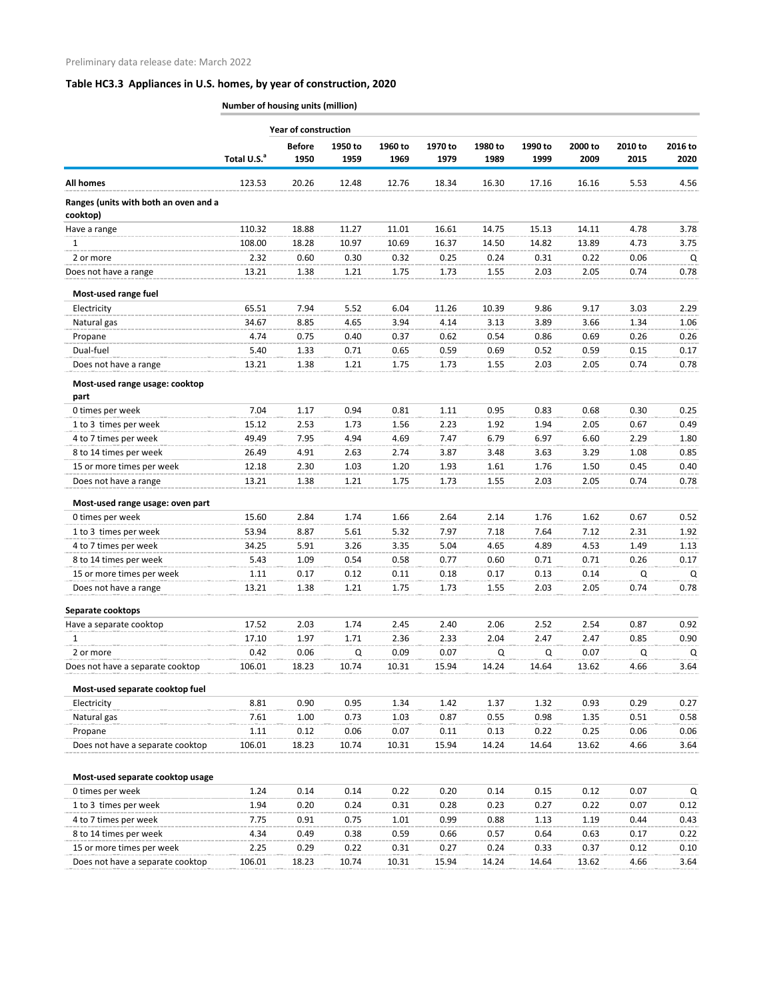|                                                   |                         | <b>Year of construction</b> |         |         |         |         |         |         |         |         |
|---------------------------------------------------|-------------------------|-----------------------------|---------|---------|---------|---------|---------|---------|---------|---------|
|                                                   |                         | <b>Before</b>               | 1950 to | 1960 to | 1970 to | 1980 to | 1990 to | 2000 to | 2010 to | 2016 to |
|                                                   | Total U.S. <sup>a</sup> | 1950                        | 1959    | 1969    | 1979    | 1989    | 1999    | 2009    | 2015    | 2020    |
| <b>All homes</b>                                  | 123.53                  | 20.26                       | 12.48   | 12.76   | 18.34   | 16.30   | 17.16   | 16.16   | 5.53    | 4.56    |
| Ranges (units with both an oven and a<br>cooktop) |                         |                             |         |         |         |         |         |         |         |         |
| Have a range                                      | 110.32                  | 18.88                       | 11.27   | 11.01   | 16.61   | 14.75   | 15.13   | 14.11   | 4.78    | 3.78    |
| 1                                                 | 108.00                  | 18.28                       | 10.97   | 10.69   | 16.37   | 14.50   | 14.82   | 13.89   | 4.73    | 3.75    |
| 2 or more                                         | 2.32                    | 0.60                        | 0.30    | 0.32    | 0.25    | 0.24    | 0.31    | 0.22    | 0.06    | Q       |
| Does not have a range                             | 13.21                   | 1.38                        | 1.21    | 1.75    | 1.73    | 1.55    | 2.03    | 2.05    | 0.74    | 0.78    |
| Most-used range fuel                              |                         |                             |         |         |         |         |         |         |         |         |
| Electricity                                       | 65.51                   | 7.94                        | 5.52    | 6.04    | 11.26   | 10.39   | 9.86    | 9.17    | 3.03    | 2.29    |
| Natural gas                                       | 34.67                   | 8.85                        | 4.65    | 3.94    | 4.14    | 3.13    | 3.89    | 3.66    | 1.34    | 1.06    |
| Propane                                           | 4.74                    | 0.75                        | 0.40    | 0.37    | 0.62    | 0.54    | 0.86    | 0.69    | 0.26    | 0.26    |
| Dual-fuel                                         | 5.40                    | 1.33                        | 0.71    | 0.65    | 0.59    | 0.69    | 0.52    | 0.59    | 0.15    | 0.17    |
| Does not have a range                             | 13.21                   | 1.38                        | 1.21    | 1.75    | 1.73    | 1.55    | 2.03    | 2.05    | 0.74    | 0.78    |
| Most-used range usage: cooktop<br>part            |                         |                             |         |         |         |         |         |         |         |         |
| 0 times per week                                  | 7.04                    | 1.17                        | 0.94    | 0.81    | 1.11    | 0.95    | 0.83    | 0.68    | 0.30    | 0.25    |
| 1 to 3 times per week                             | 15.12                   | 2.53                        | 1.73    | 1.56    | 2.23    | 1.92    | 1.94    | 2.05    | 0.67    | 0.49    |
| 4 to 7 times per week                             | 49.49                   | 7.95                        | 4.94    | 4.69    | 7.47    | 6.79    | 6.97    | 6.60    | 2.29    | 1.80    |
| 8 to 14 times per week                            | 26.49                   | 4.91                        | 2.63    | 2.74    | 3.87    | 3.48    | 3.63    | 3.29    | 1.08    | 0.85    |
| 15 or more times per week                         | 12.18                   | 2.30                        | 1.03    | 1.20    | 1.93    | 1.61    | 1.76    | 1.50    | 0.45    | 0.40    |
| Does not have a range                             | 13.21                   | 1.38                        | 1.21    | 1.75    | 1.73    | 1.55    | 2.03    | 2.05    | 0.74    | 0.78    |
| Most-used range usage: oven part                  |                         |                             |         |         |         |         |         |         |         |         |
| 0 times per week                                  | 15.60                   | 2.84                        | 1.74    | 1.66    | 2.64    | 2.14    | 1.76    | 1.62    | 0.67    | 0.52    |
| 1 to 3 times per week                             | 53.94                   | 8.87                        | 5.61    | 5.32    | 7.97    | 7.18    | 7.64    | 7.12    | 2.31    | 1.92    |
| 4 to 7 times per week                             | 34.25                   | 5.91                        | 3.26    | 3.35    | 5.04    | 4.65    | 4.89    | 4.53    | 1.49    | 1.13    |
| 8 to 14 times per week                            | 5.43                    | 1.09                        | 0.54    | 0.58    | 0.77    | 0.60    | 0.71    | 0.71    | 0.26    | 0.17    |
| 15 or more times per week                         | 1.11                    | 0.17                        | 0.12    | 0.11    | 0.18    | 0.17    | 0.13    | 0.14    | Q       | Q       |
| Does not have a range                             | 13.21                   | 1.38                        | 1.21    | 1.75    | 1.73    | 1.55    | 2.03    | 2.05    | 0.74    | 0.78    |
| Separate cooktops                                 |                         |                             |         |         |         |         |         |         |         |         |
| Have a separate cooktop                           | 17.52                   | 2.03                        | 1.74    | 2.45    | 2.40    | 2.06    | 2.52    | 2.54    | 0.87    | 0.92    |
| 1                                                 | 17.10                   | 1.97                        | 1.71    | 2.36    | 2.33    | 2.04    | 2.47    | 2.47    | 0.85    | 0.90    |
| 2 or more                                         | 0.42                    | 0.06                        | Q       | 0.09    | 0.07    | Q       | Q       | 0.07    | Q       | Q       |
| Does not have a separate cooktop                  | 106.01                  | 18.23                       | 10.74   | 10.31   | 15.94   | 14.24   | 14.64   | 13.62   | 4.66    | 3.64    |
| Most-used separate cooktop fuel                   |                         |                             |         |         |         |         |         |         |         |         |
| Electricity                                       | 8.81                    | 0.90                        | 0.95    | 1.34    | 1.42    | 1.37    | 1.32    | 0.93    | 0.29    | 0.27    |
| Natural gas                                       | 7.61                    | 1.00                        | 0.73    | 1.03    | 0.87    | 0.55    | 0.98    | 1.35    | 0.51    | 0.58    |
| Propane                                           | 1.11                    | 0.12                        | 0.06    | 0.07    | 0.11    | 0.13    | 0.22    | 0.25    | 0.06    | 0.06    |
| Does not have a separate cooktop                  | 106.01                  | 18.23                       | 10.74   | 10.31   | 15.94   | 14.24   | 14.64   | 13.62   | 4.66    | 3.64    |
| Most-used separate cooktop usage                  |                         |                             |         |         |         |         |         |         |         |         |
| 0 times per week                                  | 1.24                    | 0.14                        | 0.14    | 0.22    | 0.20    | 0.14    | 0.15    | 0.12    | 0.07    | Q       |
| 1 to 3 times per week                             | 1.94                    | 0.20                        | 0.24    | 0.31    | 0.28    | 0.23    | 0.27    | 0.22    | 0.07    | 0.12    |
| 4 to 7 times per week                             | 7.75                    | 0.91                        | 0.75    | 1.01    | 0.99    | 0.88    | 1.13    | 1.19    | 0.44    | 0.43    |
| 8 to 14 times per week                            | 4.34                    | 0.49                        | 0.38    | 0.59    | 0.66    | 0.57    | 0.64    | 0.63    | 0.17    | 0.22    |
| 15 or more times per week                         | 2.25                    | 0.29                        | 0.22    | 0.31    | 0.27    | 0.24    | 0.33    | 0.37    | 0.12    | 0.10    |
| Does not have a separate cooktop                  | 106.01                  | 18.23                       | 10.74   | 10.31   | 15.94   | 14.24   | 14.64   | 13.62   | 4.66    | 3.64    |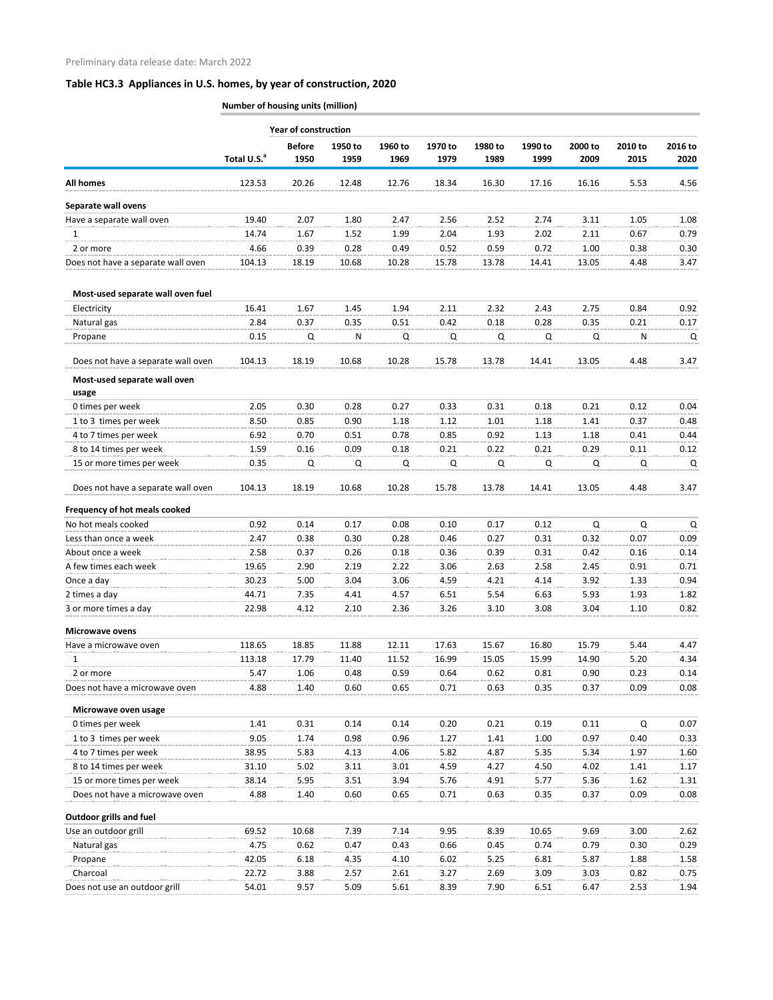|                                                             | <b>Number of housing units (million)</b> |                             |                 |                 |                 |                 |                 |                 |                 |                 |
|-------------------------------------------------------------|------------------------------------------|-----------------------------|-----------------|-----------------|-----------------|-----------------|-----------------|-----------------|-----------------|-----------------|
|                                                             |                                          | <b>Year of construction</b> |                 |                 |                 |                 |                 |                 |                 |                 |
|                                                             | Total U.S. <sup>a</sup>                  | <b>Before</b><br>1950       | 1950 to<br>1959 | 1960 to<br>1969 | 1970 to<br>1979 | 1980 to<br>1989 | 1990 to<br>1999 | 2000 to<br>2009 | 2010 to<br>2015 | 2016 to<br>2020 |
| <b>All homes</b>                                            | 123.53                                   | 20.26                       | 12.48           | 12.76           | 18.34           | 16.30           | 17.16           | 16.16           | 5.53            | 4.56            |
| Separate wall ovens                                         |                                          |                             |                 |                 |                 |                 |                 |                 |                 |                 |
| Have a separate wall oven                                   | 19.40                                    | 2.07                        | 1.80            | 2.47            | 2.56            | 2.52            | 2.74            | 3.11            | 1.05            | 1.08            |
| 1                                                           | 14.74                                    | 1.67                        | 1.52            | 1.99            | 2.04            | 1.93            | 2.02            | 2.11            | 0.67            | 0.79            |
| 2 or more                                                   | 4.66                                     | 0.39                        | 0.28            | 0.49            | 0.52            | 0.59            | 0.72            | 1.00            | 0.38            | 0.30            |
| Does not have a separate wall oven                          | 104.13                                   | 18.19                       | 10.68           | 10.28           | 15.78           | 13.78           | 14.41           | 13.05           | 4.48            | 3.47            |
| Most-used separate wall oven fuel                           |                                          |                             |                 |                 |                 |                 |                 |                 |                 |                 |
| Electricity                                                 | 16.41                                    | 1.67                        | 1.45            | 1.94            | 2.11            | 2.32            | 2.43            | 2.75            | 0.84            | 0.92            |
| Natural gas                                                 | 2.84                                     | 0.37                        | 0.35            | 0.51            | 0.42            | 0.18            | 0.28            | 0.35            | 0.21            | 0.17            |
| Propane                                                     | 0.15                                     | Q                           | N               | Q               | Q               | Q               | Q               | Q               | N               | Q               |
| Does not have a separate wall oven                          | 104.13                                   | 18.19                       | 10.68           | 10.28           | 15.78           | 13.78           | 14.41           | 13.05           | 4.48            | 3.47            |
| Most-used separate wall oven<br>usage                       |                                          |                             |                 |                 |                 |                 |                 |                 |                 |                 |
| 0 times per week                                            | 2.05                                     | 0.30                        | 0.28            | 0.27            | 0.33            | 0.31            | 0.18            | 0.21            | 0.12            | 0.04            |
| 1 to 3 times per week                                       | 8.50                                     | 0.85                        | 0.90            | 1.18            | 1.12            | 1.01            | 1.18            | 1.41            | 0.37            | 0.48            |
| 4 to 7 times per week                                       | 6.92                                     | 0.70                        | 0.51            | 0.78            | 0.85            | 0.92            | 1.13            | 1.18            | 0.41            | 0.44            |
| 8 to 14 times per week                                      | 1.59                                     | 0.16                        | 0.09            | 0.18            | 0.21            | 0.22            | 0.21            | 0.29            | 0.11            | 0.12            |
| 15 or more times per week                                   | 0.35                                     | Q                           | Q               | Q               | Q               | Q               | Q               | Q               | Q               | Q               |
| Does not have a separate wall oven                          | 104.13                                   | 18.19                       | 10.68           | 10.28           | 15.78           | 13.78           | 14.41           | 13.05           | 4.48            | 3.47            |
| Frequency of hot meals cooked                               |                                          |                             |                 |                 |                 |                 |                 |                 |                 |                 |
| No hot meals cooked                                         | 0.92                                     | 0.14                        | 0.17            | 0.08            | 0.10            | 0.17            | 0.12            | Q               | Q               | Q               |
| Less than once a week                                       | 2.47                                     | 0.38                        | 0.30            | 0.28            | 0.46            | 0.27            | 0.31            | 0.32            | 0.07            | 0.09            |
| About once a week                                           | 2.58                                     | 0.37                        | 0.26            | 0.18            | 0.36            | 0.39            | 0.31            | 0.42            | 0.16            | 0.14            |
| A few times each week                                       | 19.65                                    | 2.90                        | 2.19            | 2.22            | 3.06            | 2.63            | 2.58            | 2.45            | 0.91            | 0.71            |
| Once a day                                                  | 30.23                                    | 5.00                        | 3.04            | 3.06            | 4.59            | 4.21            | 4.14            | 3.92            | 1.33            | 0.94            |
| 2 times a day                                               | 44.71                                    | 7.35                        | 4.41            | 4.57            | 6.51            | 5.54            | 6.63            | 5.93            | 1.93            | 1.82            |
| 3 or more times a day                                       | 22.98                                    | 4.12                        | 2.10            | 2.36            | 3.26            | 3.10            | 3.08            | 3.04            | 1.10            | 0.82            |
| <b>Microwave ovens</b>                                      |                                          |                             |                 |                 |                 |                 |                 |                 |                 |                 |
| Have a microwave oven                                       | 118.65                                   | 18.85                       | 11.88           | 12.11           | 17.63           | 15.67           | 16.80           | 15.79           | 5.44            | 4.47            |
| 1                                                           | 113.18                                   | 17.79                       | 11.40           | 11.52           | 16.99           | 15.05           | 15.99           | 14.90           | 5.20            | 4.34            |
| 2 or more                                                   | 5.47                                     | 1.06                        | 0.48            | 0.59            | 0.64            | 0.62            | 0.81            | 0.90            | 0.23            | 0.14            |
| Does not have a microwave oven                              | 4.88                                     | 1.40                        | 0.60            | 0.65            | 0.71            | 0.63            | 0.35            | 0.37            | 0.09            | 0.08            |
| Microwave oven usage                                        |                                          |                             |                 |                 |                 |                 |                 |                 |                 |                 |
| 0 times per week                                            | 1.41                                     | 0.31                        | 0.14            | 0.14            | 0.20            | 0.21            | 0.19            | 0.11            | Q               | 0.07            |
| 1 to 3 times per week                                       | 9.05                                     | 1.74                        | 0.98            | 0.96            | 1.27            | 1.41            | 1.00            | 0.97            | 0.40            | 0.33            |
| 4 to 7 times per week                                       | 38.95                                    | 5.83                        | 4.13            | 4.06            | 5.82            | 4.87            | 5.35            | 5.34            | 1.97            | 1.60            |
| 8 to 14 times per week                                      | 31.10                                    | 5.02                        | 3.11            | 3.01            | 4.59            | 4.27            | 4.50            | 4.02            | 1.41            | 1.17            |
| 15 or more times per week<br>Does not have a microwave oven | 38.14<br>4.88                            | 5.95<br>1.40                | 3.51<br>0.60    | 3.94<br>0.65    | 5.76<br>0.71    | 4.91<br>0.63    | 5.77<br>0.35    | 5.36<br>0.37    | 1.62<br>0.09    | 1.31<br>0.08    |
| <b>Outdoor grills and fuel</b>                              |                                          |                             |                 |                 |                 |                 |                 |                 |                 |                 |
| Use an outdoor grill                                        | 69.52                                    | 10.68                       | 7.39            | 7.14            | 9.95            | 8.39            | 10.65           | 9.69            | 3.00            | 2.62            |
| Natural gas                                                 | 4.75                                     | 0.62                        | 0.47            | 0.43            | 0.66            | 0.45            | 0.74            | 0.79            | 0.30            | 0.29            |
| Propane                                                     | 42.05                                    | 6.18                        | 4.35            | 4.10            | 6.02            | 5.25            | 6.81            | 5.87            | 1.88            | 1.58            |
| Charcoal                                                    | 22.72                                    | 3.88                        | 2.57            | 2.61            | 3.27            | 2.69            | 3.09            | 3.03            | 0.82            | 0.75            |
| Does not use an outdoor grill                               | 54.01                                    | 9.57                        | 5.09            | 5.61            | 8.39            | 7.90            | 6.51            | 6.47            | 2.53            | 1.94            |
|                                                             |                                          |                             |                 |                 |                 |                 |                 |                 |                 |                 |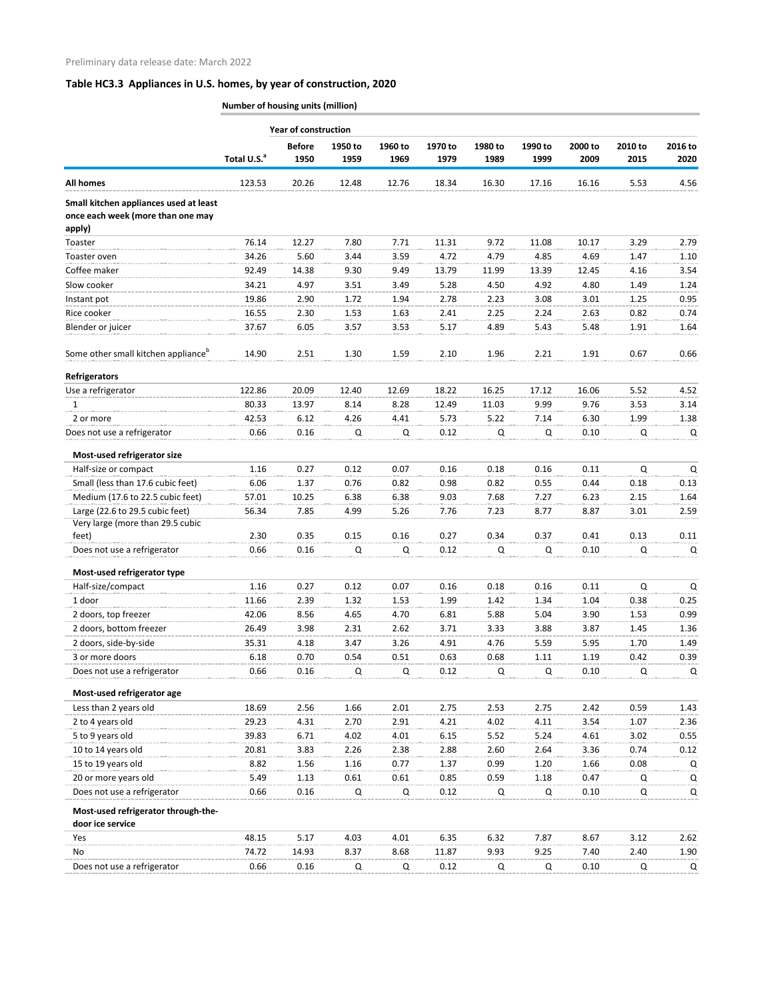|                                                                             |                         | <b>Year of construction</b> |              |              |               |              |               |               |              |              |
|-----------------------------------------------------------------------------|-------------------------|-----------------------------|--------------|--------------|---------------|--------------|---------------|---------------|--------------|--------------|
|                                                                             |                         | <b>Before</b>               | 1950 to      | 1960 to      | 1970 to       | 1980 to      | 1990 to       | 2000 to       | 2010 to      | 2016 to      |
|                                                                             | Total U.S. <sup>a</sup> | 1950                        | 1959         | 1969         | 1979          | 1989         | 1999          | 2009          | 2015         | 2020         |
| <b>All homes</b>                                                            | 123.53                  | 20.26                       | 12.48        | 12.76        | 18.34         | 16.30        | 17.16         | 16.16         | 5.53         | 4.56         |
| Small kitchen appliances used at least<br>once each week (more than one may |                         |                             |              |              |               |              |               |               |              |              |
| apply)                                                                      |                         |                             |              |              |               |              |               |               |              |              |
| Toaster<br>Toaster oven                                                     | 76.14<br>34.26          | 12.27<br>5.60               | 7.80<br>3.44 | 7.71<br>3.59 | 11.31<br>4.72 | 9.72<br>4.79 | 11.08<br>4.85 | 10.17<br>4.69 | 3.29<br>1.47 | 2.79         |
| Coffee maker                                                                | 92.49                   | 14.38                       | 9.30         | 9.49         | 13.79         | 11.99        | 13.39         | 12.45         | 4.16         | 1.10<br>3.54 |
| Slow cooker                                                                 | 34.21                   | 4.97                        | 3.51         | 3.49         | 5.28          | 4.50         | 4.92          | 4.80          | 1.49         | 1.24         |
| Instant pot                                                                 | 19.86                   | 2.90                        | 1.72         | 1.94         | 2.78          | 2.23         | 3.08          | 3.01          | 1.25         | 0.95         |
| Rice cooker                                                                 | 16.55                   | 2.30                        | 1.53         | 1.63         | 2.41          | 2.25         | 2.24          | 2.63          | 0.82         | 0.74         |
| Blender or juicer                                                           | 37.67                   | 6.05                        | 3.57         | 3.53         | 5.17          | 4.89         | 5.43          | 5.48          | 1.91         | 1.64         |
|                                                                             |                         |                             |              |              |               |              |               |               |              |              |
| Some other small kitchen appliance <sup>b</sup>                             | 14.90                   | 2.51                        | 1.30         | 1.59         | 2.10          | 1.96         | 2.21          | 1.91          | 0.67         | 0.66         |
| <b>Refrigerators</b>                                                        |                         |                             |              |              |               |              |               |               |              |              |
| Use a refrigerator                                                          | 122.86                  | 20.09                       | 12.40        | 12.69        | 18.22         | 16.25        | 17.12         | 16.06         | 5.52         | 4.52         |
| 1                                                                           | 80.33                   | 13.97                       | 8.14         | 8.28         | 12.49         | 11.03        | 9.99          | 9.76          | 3.53         | 3.14         |
| 2 or more                                                                   | 42.53                   | 6.12                        | 4.26         | 4.41         | 5.73          | 5.22         | 7.14          | 6.30          | 1.99         | 1.38         |
| Does not use a refrigerator                                                 | 0.66                    | 0.16                        | Q            | Q            | 0.12          | Q            | Q             | 0.10          | Q            | Q            |
| Most-used refrigerator size                                                 |                         |                             |              |              |               |              |               |               |              |              |
| Half-size or compact                                                        | 1.16                    | 0.27                        | 0.12         | 0.07         | 0.16          | 0.18         | 0.16          | 0.11          | Q            | $\mathsf Q$  |
| Small (less than 17.6 cubic feet)                                           | 6.06                    | 1.37                        | 0.76         | 0.82         | 0.98          | 0.82         | 0.55          | 0.44          | 0.18         | 0.13         |
| Medium (17.6 to 22.5 cubic feet)                                            | 57.01                   | 10.25                       | 6.38         | 6.38         | 9.03          | 7.68         | 7.27          | 6.23          | 2.15         | 1.64         |
| Large (22.6 to 29.5 cubic feet)                                             | 56.34                   | 7.85                        | 4.99         | 5.26         | 7.76          | 7.23         | 8.77          | 8.87          | 3.01         | 2.59         |
| Very large (more than 29.5 cubic                                            |                         |                             |              |              |               |              |               |               |              |              |
| feet)                                                                       | 2.30                    | 0.35                        | 0.15         | 0.16         | 0.27          | 0.34         | 0.37          | 0.41          | 0.13         | 0.11         |
| Does not use a refrigerator                                                 | 0.66                    | 0.16                        | Q            | Q            | 0.12          | Q            | Q             | 0.10          | Q            | Q            |
| Most-used refrigerator type                                                 |                         |                             |              |              |               |              |               |               |              |              |
| Half-size/compact                                                           | 1.16                    | 0.27                        | 0.12         | 0.07         | 0.16          | 0.18         | 0.16          | 0.11          | Q            | Q            |
| 1 door                                                                      | 11.66                   | 2.39                        | 1.32         | 1.53         | 1.99          | 1.42         | 1.34          | 1.04          | 0.38         | 0.25         |
| 2 doors, top freezer                                                        | 42.06                   | 8.56                        | 4.65         | 4.70         | 6.81          | 5.88         | 5.04          | 3.90          | 1.53         | 0.99         |
| 2 doors, bottom freezer                                                     | 26.49                   | 3.98                        | 2.31         | 2.62         | 3.71          | 3.33         | 3.88          | 3.87          | 1.45         | 1.36         |
| 2 doors, side-by-side                                                       | 35.31                   | 4.18                        | 3.47         | 3.26         | 4.91          | 4.76         | 5.59          | 5.95          | 1.70         | 1.49         |
| 3 or more doors                                                             | 6.18                    | 0.70                        | 0.54         | 0.51         | 0.63          | 0.68         | 1.11          | 1.19          | 0.42         | 0.39         |
| Does not use a refrigerator                                                 | 0.66                    | 0.16                        | Q            | Q            | 0.12          | Q            | Q             | 0.10          | Q            | Q            |
| Most-used refrigerator age                                                  |                         |                             |              |              |               |              |               |               |              |              |
| Less than 2 years old                                                       | 18.69                   | 2.56                        | 1.66         | 2.01         | 2.75          | 2.53         | 2.75          | 2.42          | 0.59         | 1.43         |
| 2 to 4 years old                                                            | 29.23                   | 4.31                        | 2.70         | 2.91         | 4.21          | 4.02         | 4.11          | 3.54          | 1.07         | 2.36         |
| 5 to 9 years old                                                            | 39.83                   | 6.71                        | 4.02         | 4.01         | 6.15          | 5.52         | 5.24          | 4.61          | 3.02         | 0.55         |
| 10 to 14 years old                                                          | 20.81                   | 3.83                        | 2.26         | 2.38         | 2.88          | 2.60         | 2.64          | 3.36          | 0.74         | 0.12         |
| 15 to 19 years old                                                          | 8.82                    | 1.56                        | 1.16         | 0.77         | 1.37          | 0.99         | 1.20          | 1.66          | 0.08         | Q            |
| 20 or more years old                                                        | 5.49                    | 1.13                        | 0.61         | 0.61         | 0.85          | 0.59         | 1.18          | 0.47          | Q            | Q            |
| Does not use a refrigerator                                                 | 0.66                    | 0.16                        | Q            | Q            | 0.12          | Q            | Q             | 0.10          | Q            | Q            |
| Most-used refrigerator through-the-                                         |                         |                             |              |              |               |              |               |               |              |              |
| door ice service                                                            |                         |                             |              |              |               |              |               |               |              |              |
| Yes                                                                         | 48.15                   | 5.17                        | 4.03         | 4.01         | 6.35          | 6.32         | 7.87          | 8.67          | 3.12         | 2.62         |
| No.                                                                         | 74.72                   | 14.93                       | 8.37         | 8.68         | 11.87         | 9.93         | 9.25          | 7.40          | 2.40         | 1.90         |
| Does not use a refrigerator                                                 | 0.66                    | 0.16                        | Q            | Q            | 0.12          | Q            | Q             | 0.10          | Q            | Q            |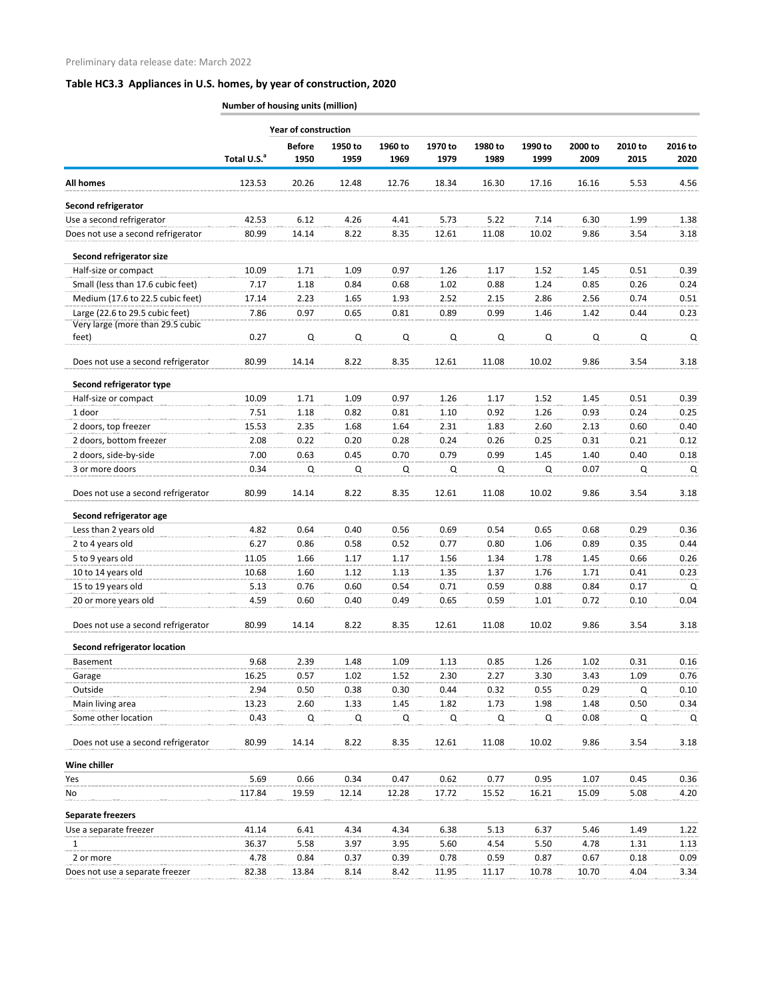|                                     |                         | <b>Year of construction</b> |         |             |             |         |             |         |         |         |  |
|-------------------------------------|-------------------------|-----------------------------|---------|-------------|-------------|---------|-------------|---------|---------|---------|--|
|                                     |                         | <b>Before</b>               | 1950 to | 1960 to     | 1970 to     | 1980 to | 1990 to     | 2000 to | 2010 to | 2016 to |  |
|                                     | Total U.S. <sup>a</sup> | 1950                        | 1959    | 1969        | 1979        | 1989    | 1999        | 2009    | 2015    | 2020    |  |
| <b>All homes</b>                    | 123.53                  | 20.26                       | 12.48   | 12.76       | 18.34       | 16.30   | 17.16       | 16.16   | 5.53    | 4.56    |  |
| Second refrigerator                 |                         |                             |         |             |             |         |             |         |         |         |  |
| Use a second refrigerator           | 42.53                   | 6.12                        | 4.26    | 4.41        | 5.73        | 5.22    | 7.14        | 6.30    | 1.99    | 1.38    |  |
| Does not use a second refrigerator  | 80.99                   | 14.14                       | 8.22    | 8.35        | 12.61       | 11.08   | 10.02       | 9.86    | 3.54    | 3.18    |  |
| Second refrigerator size            |                         |                             |         |             |             |         |             |         |         |         |  |
| Half-size or compact                | 10.09                   | 1.71                        | 1.09    | 0.97        | 1.26        | 1.17    | 1.52        | 1.45    | 0.51    | 0.39    |  |
| Small (less than 17.6 cubic feet)   | 7.17                    | 1.18                        | 0.84    | 0.68        | 1.02        | 0.88    | 1.24        | 0.85    | 0.26    | 0.24    |  |
| Medium (17.6 to 22.5 cubic feet)    | 17.14                   | 2.23                        | 1.65    | 1.93        | 2.52        | 2.15    | 2.86        | 2.56    | 0.74    | 0.51    |  |
| Large (22.6 to 29.5 cubic feet)     | 7.86                    | 0.97                        | 0.65    | 0.81        | 0.89        | 0.99    | 1.46        | 1.42    | 0.44    | 0.23    |  |
| Very large (more than 29.5 cubic    |                         |                             |         |             |             |         |             |         |         |         |  |
| feet)                               | 0.27                    | $\mathsf Q$                 | Q       | $\mathsf Q$ | $\mathsf Q$ | Q       | $\mathsf Q$ | Q       | Q       | Q       |  |
| Does not use a second refrigerator  | 80.99                   | 14.14                       | 8.22    | 8.35        | 12.61       | 11.08   | 10.02       | 9.86    | 3.54    | 3.18    |  |
| Second refrigerator type            |                         |                             |         |             |             |         |             |         |         |         |  |
| Half-size or compact                | 10.09                   | 1.71                        | 1.09    | 0.97        | 1.26        | 1.17    | 1.52        | 1.45    | 0.51    | 0.39    |  |
| 1 door                              | 7.51                    | 1.18                        | 0.82    | 0.81        | 1.10        | 0.92    | 1.26        | 0.93    | 0.24    | 0.25    |  |
| 2 doors, top freezer                | 15.53                   | 2.35                        | 1.68    | 1.64        | 2.31        | 1.83    | 2.60        | 2.13    | 0.60    | 0.40    |  |
| 2 doors, bottom freezer             | 2.08                    | 0.22                        | 0.20    | 0.28        | 0.24        | 0.26    | 0.25        | 0.31    | 0.21    | 0.12    |  |
| 2 doors, side-by-side               | 7.00                    | 0.63                        | 0.45    | 0.70        | 0.79        | 0.99    | 1.45        | 1.40    | 0.40    | 0.18    |  |
| 3 or more doors                     | 0.34                    | Q                           | Q       | Q           | Q           | Q       | Q           | 0.07    | Q       | Q       |  |
| Does not use a second refrigerator  | 80.99                   | 14.14                       | 8.22    | 8.35        | 12.61       | 11.08   | 10.02       | 9.86    | 3.54    | 3.18    |  |
| Second refrigerator age             |                         |                             |         |             |             |         |             |         |         |         |  |
| Less than 2 years old               | 4.82                    | 0.64                        | 0.40    | 0.56        | 0.69        | 0.54    | 0.65        | 0.68    | 0.29    | 0.36    |  |
| 2 to 4 years old                    | 6.27                    | 0.86                        | 0.58    | 0.52        | 0.77        | 0.80    | 1.06        | 0.89    | 0.35    | 0.44    |  |
| 5 to 9 years old                    | 11.05                   | 1.66                        | 1.17    | 1.17        | 1.56        | 1.34    | 1.78        | 1.45    | 0.66    | 0.26    |  |
| 10 to 14 years old                  | 10.68                   | 1.60                        | 1.12    | 1.13        | 1.35        | 1.37    | 1.76        | 1.71    | 0.41    | 0.23    |  |
| 15 to 19 years old                  | 5.13                    | 0.76                        | 0.60    | 0.54        | 0.71        | 0.59    | 0.88        | 0.84    | 0.17    | Q       |  |
| 20 or more years old                | 4.59                    | 0.60                        | 0.40    | 0.49        | 0.65        | 0.59    | 1.01        | 0.72    | 0.10    | 0.04    |  |
| Does not use a second refrigerator  | 80.99                   | 14.14                       | 8.22    | 8.35        | 12.61       | 11.08   | 10.02       | 9.86    | 3.54    | 3.18    |  |
| <b>Second refrigerator location</b> |                         |                             |         |             |             |         |             |         |         |         |  |
| Basement                            | 9.68                    | 2.39                        | 1.48    | 1.09        | 1.13        | 0.85    | 1.26        | 1.02    | 0.31    | 0.16    |  |
| Garage                              | 16.25                   | 0.57                        | 1.02    | 1.52        | 2.30        | 2.27    | 3.30        | 3.43    | 1.09    | 0.76    |  |
| Outside                             | 2.94                    | 0.50                        | 0.38    | 0.30        | 0.44        | 0.32    | 0.55        | 0.29    | Q       | 0.10    |  |
| Main living area                    | 13.23                   | 2.60                        | 1.33    | 1.45        | 1.82        | 1.73    | 1.98        | 1.48    | 0.50    | 0.34    |  |
| Some other location                 | 0.43                    | Q                           | Q       | Q           | Q           | Q       | Q           | 0.08    | Q       | Q       |  |
| Does not use a second refrigerator  | 80.99                   | 14.14                       | 8.22    | 8.35        | 12.61       | 11.08   | 10.02       | 9.86    | 3.54    | 3.18    |  |
| Wine chiller                        |                         |                             |         |             |             |         |             |         |         |         |  |
| Yes                                 | 5.69                    | 0.66                        | 0.34    | 0.47        | 0.62        | 0.77    | 0.95        | 1.07    | 0.45    | 0.36    |  |
| No                                  | 117.84                  | 19.59                       | 12.14   | 12.28       | 17.72       | 15.52   | 16.21       | 15.09   | 5.08    | 4.20    |  |
| <b>Separate freezers</b>            |                         |                             |         |             |             |         |             |         |         |         |  |
| Use a separate freezer              | 41.14                   | 6.41                        | 4.34    | 4.34        | 6.38        | 5.13    | 6.37        | 5.46    | 1.49    | 1.22    |  |
| 1                                   | 36.37                   | 5.58                        | 3.97    | 3.95        | 5.60        | 4.54    | 5.50        | 4.78    | 1.31    | 1.13    |  |
| 2 or more                           | 4.78                    | 0.84                        | 0.37    | 0.39        | 0.78        | 0.59    | 0.87        | 0.67    | 0.18    | 0.09    |  |
| Does not use a separate freezer     | 82.38                   | 13.84                       | 8.14    | 8.42        | 11.95       | 11.17   | 10.78       | 10.70   | 4.04    | 3.34    |  |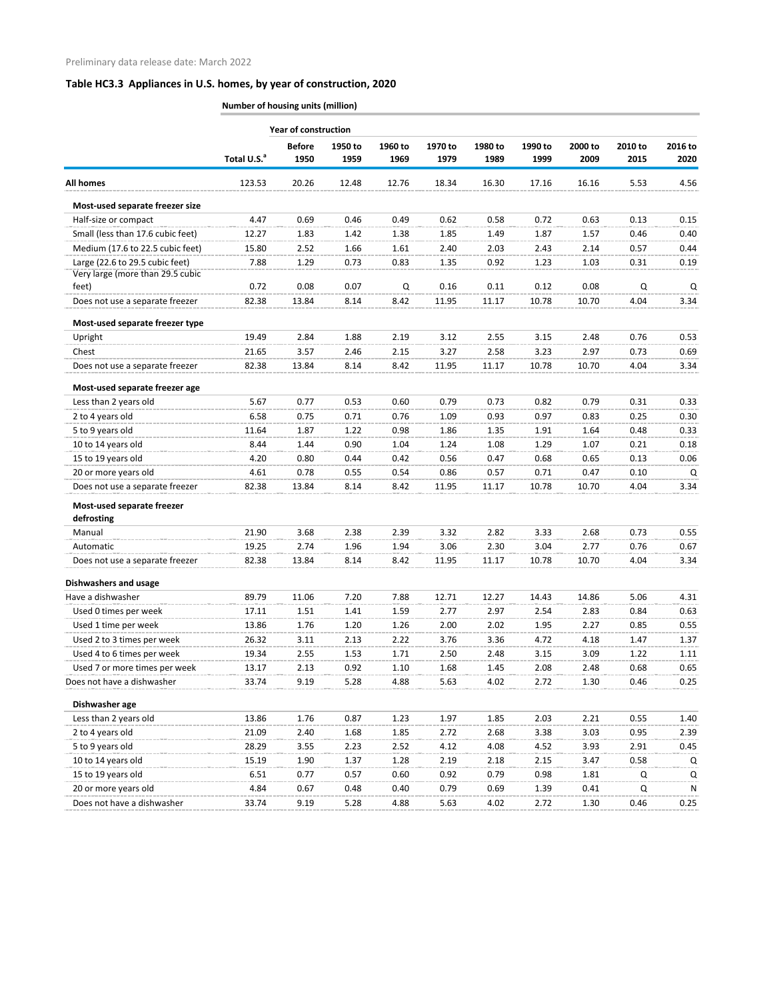|                                          | <b>Year of construction</b> |                       |                 |                 |                 |                 |                 |                 |                 |                 |  |
|------------------------------------------|-----------------------------|-----------------------|-----------------|-----------------|-----------------|-----------------|-----------------|-----------------|-----------------|-----------------|--|
|                                          | Total U.S. <sup>a</sup>     | <b>Before</b><br>1950 | 1950 to<br>1959 | 1960 to<br>1969 | 1970 to<br>1979 | 1980 to<br>1989 | 1990 to<br>1999 | 2000 to<br>2009 | 2010 to<br>2015 | 2016 to<br>2020 |  |
| <b>All homes</b>                         | 123.53                      | 20.26                 | 12.48           | 12.76           | 18.34           | 16.30           | 17.16           | 16.16           | 5.53            | 4.56            |  |
| Most-used separate freezer size          |                             |                       |                 |                 |                 |                 |                 |                 |                 |                 |  |
| Half-size or compact                     | 4.47                        | 0.69                  | 0.46            | 0.49            | 0.62            | 0.58            | 0.72            | 0.63            | 0.13            | 0.15            |  |
| Small (less than 17.6 cubic feet)        | 12.27                       | 1.83                  | 1.42            | 1.38            | 1.85            | 1.49            | 1.87            | 1.57            | 0.46            | 0.40            |  |
| Medium (17.6 to 22.5 cubic feet)         | 15.80                       | 2.52                  | 1.66            | 1.61            | 2.40            | 2.03            | 2.43            | 2.14            | 0.57            | 0.44            |  |
| Large (22.6 to 29.5 cubic feet)          | 7.88                        | 1.29                  | 0.73            | 0.83            | 1.35            | 0.92            | 1.23            | 1.03            | 0.31            | 0.19            |  |
| Very large (more than 29.5 cubic         |                             |                       |                 |                 |                 |                 |                 |                 |                 |                 |  |
| feet)                                    | 0.72                        | 0.08                  | 0.07            | Q               | 0.16            | 0.11            | 0.12            | 0.08            | Q               | Q               |  |
| Does not use a separate freezer          | 82.38                       | 13.84                 | 8.14            | 8.42            | 11.95           | 11.17           | 10.78           | 10.70           | 4.04            | 3.34            |  |
| Most-used separate freezer type          |                             |                       |                 |                 |                 |                 |                 |                 |                 |                 |  |
| Upright                                  | 19.49                       | 2.84                  | 1.88            | 2.19            | 3.12            | 2.55            | 3.15            | 2.48            | 0.76            | 0.53            |  |
| Chest                                    | 21.65                       | 3.57                  | 2.46            | 2.15            | 3.27            | 2.58            | 3.23            | 2.97            | 0.73            | 0.69            |  |
| Does not use a separate freezer          | 82.38                       | 13.84                 | 8.14            | 8.42            | 11.95           | 11.17           | 10.78           | 10.70           | 4.04            | 3.34            |  |
| Most-used separate freezer age           |                             |                       |                 |                 |                 |                 |                 |                 |                 |                 |  |
| Less than 2 years old                    | 5.67                        | 0.77                  | 0.53            | 0.60            | 0.79            | 0.73            | 0.82            | 0.79            | 0.31            | 0.33            |  |
| 2 to 4 years old                         | 6.58                        | 0.75                  | 0.71            | 0.76            | 1.09            | 0.93            | 0.97            | 0.83            | 0.25            | 0.30            |  |
| 5 to 9 years old                         | 11.64                       | 1.87                  | 1.22            | 0.98            | 1.86            | 1.35            | 1.91            | 1.64            | 0.48            | 0.33            |  |
| 10 to 14 years old                       | 8.44                        | 1.44                  | 0.90            | 1.04            | 1.24            | 1.08            | 1.29            | 1.07            | 0.21            | 0.18            |  |
| 15 to 19 years old                       | 4.20                        | 0.80                  | 0.44            | 0.42            | 0.56            | 0.47            | 0.68            | 0.65            | 0.13            | 0.06            |  |
| 20 or more years old                     | 4.61                        | 0.78                  | 0.55            | 0.54            | 0.86            | 0.57            | 0.71            | 0.47            | 0.10            | Q               |  |
| Does not use a separate freezer          | 82.38                       | 13.84                 | 8.14            | 8.42            | 11.95           | 11.17           | 10.78           | 10.70           | 4.04            | 3.34            |  |
| Most-used separate freezer<br>defrosting |                             |                       |                 |                 |                 |                 |                 |                 |                 |                 |  |
| Manual                                   | 21.90                       | 3.68                  | 2.38            | 2.39            | 3.32            | 2.82            | 3.33            | 2.68            | 0.73            | 0.55            |  |
| Automatic                                | 19.25                       | 2.74                  | 1.96            | 1.94            | 3.06            | 2.30            | 3.04            | 2.77            | 0.76            | 0.67            |  |
| Does not use a separate freezer          | 82.38                       | 13.84                 | 8.14            | 8.42            | 11.95           | 11.17           | 10.78           | 10.70           | 4.04            | 3.34            |  |
| <b>Dishwashers and usage</b>             |                             |                       |                 |                 |                 |                 |                 |                 |                 |                 |  |
| Have a dishwasher                        | 89.79                       | 11.06                 | 7.20            | 7.88            | 12.71           | 12.27           | 14.43           | 14.86           | 5.06            | 4.31            |  |
| Used 0 times per week                    | 17.11                       | 1.51                  | 1.41            | 1.59            | 2.77            | 2.97            | 2.54            | 2.83            | 0.84            | 0.63            |  |
| Used 1 time per week                     | 13.86                       | 1.76                  | 1.20            | 1.26            | 2.00            | 2.02            | 1.95            | 2.27            | 0.85            | 0.55            |  |
| Used 2 to 3 times per week               | 26.32                       | 3.11                  | 2.13            | 2.22            | 3.76            | 3.36            | 4.72            | 4.18            | 1.47            | 1.37            |  |
| Used 4 to 6 times per week               | 19.34                       | 2.55                  | 1.53            | 1.71            | 2.50            | 2.48            | 3.15            | 3.09            | 1.22            | 1.11            |  |
| Used 7 or more times per week            | 13.17                       | 2.13                  | 0.92            | 1.10            | 1.68            | 1.45            | 2.08            | 2.48            | 0.68            | 0.65            |  |
| Does not have a dishwasher               | 33.74                       | 9.19                  | 5.28            | 4.88            | 5.63            | 4.02            | 2.72            | 1.30            | 0.46            | 0.25            |  |
| Dishwasher age                           |                             |                       |                 |                 |                 |                 |                 |                 |                 |                 |  |
| Less than 2 years old                    | 13.86                       | 1.76                  | 0.87            | 1.23            | 1.97            | 1.85            | 2.03            | 2.21            | 0.55            | 1.40            |  |
| 2 to 4 years old                         | 21.09                       | 2.40                  | 1.68            | 1.85            | 2.72            | 2.68            | 3.38            | 3.03            | 0.95            | 2.39            |  |
| 5 to 9 years old                         | 28.29                       | 3.55                  | 2.23            | 2.52            | 4.12            | 4.08            | 4.52            | 3.93            | 2.91            | 0.45            |  |
| 10 to 14 years old                       | 15.19                       | 1.90                  | 1.37            | 1.28            | 2.19            | 2.18            | 2.15            | 3.47            | 0.58            | Q               |  |
| 15 to 19 years old                       | 6.51                        | 0.77                  | 0.57            | 0.60            | 0.92            | 0.79            | 0.98            | 1.81            | Q               | Q               |  |
| 20 or more years old                     | 4.84                        | 0.67                  | 0.48            | 0.40            | 0.79            | 0.69            | 1.39            | 0.41            | Q               | Ν               |  |
| Does not have a dishwasher               | 33.74                       | 9.19                  | 5.28            | 4.88            | 5.63            | 4.02            | 2.72            | 1.30            | 0.46            | 0.25            |  |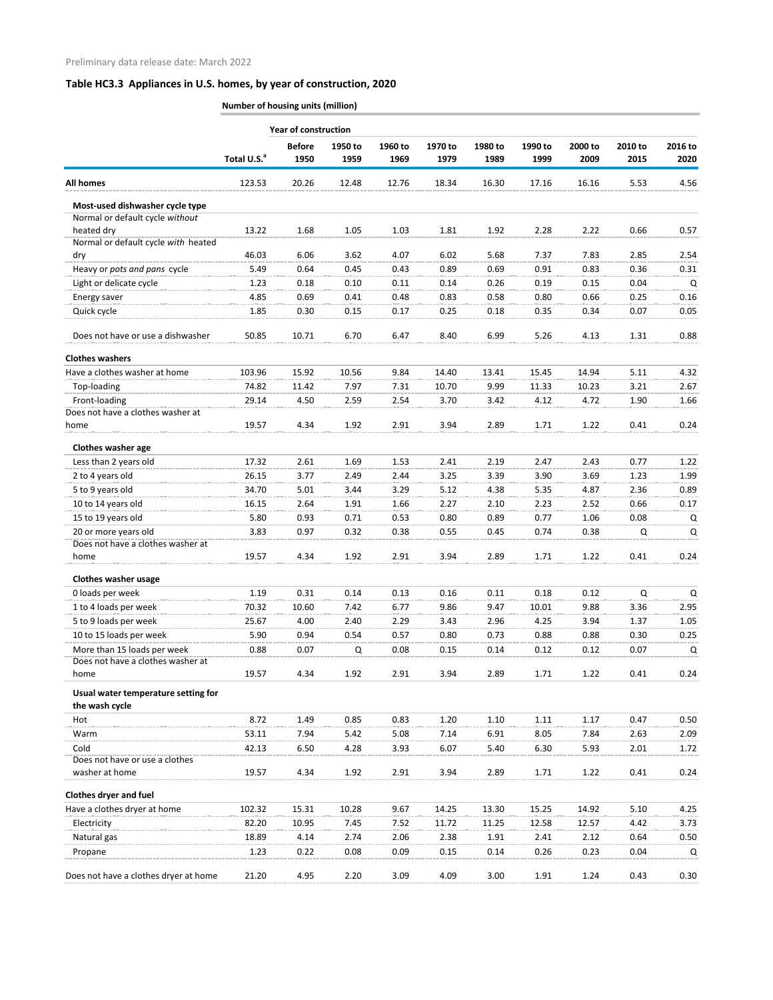|                                                    |                         | <b>Year of construction</b> |                 |                 |                 |                 |                 |                 |                 |                 |
|----------------------------------------------------|-------------------------|-----------------------------|-----------------|-----------------|-----------------|-----------------|-----------------|-----------------|-----------------|-----------------|
|                                                    | Total U.S. <sup>a</sup> | <b>Before</b><br>1950       | 1950 to<br>1959 | 1960 to<br>1969 | 1970 to<br>1979 | 1980 to<br>1989 | 1990 to<br>1999 | 2000 to<br>2009 | 2010 to<br>2015 | 2016 to<br>2020 |
| <b>All homes</b>                                   | 123.53                  | 20.26                       | 12.48           | 12.76           | 18.34           | 16.30           | 17.16           | 16.16           | 5.53            | 4.56            |
| Most-used dishwasher cycle type                    |                         |                             |                 |                 |                 |                 |                 |                 |                 |                 |
| Normal or default cycle without                    |                         |                             |                 |                 |                 |                 |                 |                 |                 |                 |
| heated dry                                         | 13.22                   | 1.68                        | 1.05            | 1.03            | 1.81            | 1.92            | 2.28            | 2.22            | 0.66            | 0.57            |
| Normal or default cycle with heated                |                         |                             |                 |                 |                 |                 |                 |                 |                 |                 |
| dry                                                | 46.03                   | 6.06                        | 3.62            | 4.07            | 6.02            | 5.68            | 7.37            | 7.83            | 2.85            | 2.54            |
| Heavy or pots and pans cycle                       | 5.49                    | 0.64                        | 0.45            | 0.43            | 0.89            | 0.69            | 0.91            | 0.83            | 0.36            | 0.31            |
| Light or delicate cycle                            | 1.23                    | 0.18                        | 0.10            | 0.11            | 0.14            | 0.26            | 0.19            | 0.15            | 0.04            | Q               |
| Energy saver                                       | 4.85                    | 0.69                        | 0.41            | 0.48            | 0.83            | 0.58            | 0.80            | 0.66            | 0.25            | 0.16            |
| Quick cycle                                        | 1.85                    | 0.30                        | 0.15            | 0.17            | 0.25            | 0.18            | 0.35            | 0.34            | 0.07            | 0.05            |
| Does not have or use a dishwasher                  | 50.85                   | 10.71                       | 6.70            | 6.47            | 8.40            | 6.99            | 5.26            | 4.13            | 1.31            | 0.88            |
| <b>Clothes washers</b>                             |                         |                             |                 |                 |                 |                 |                 |                 |                 |                 |
| Have a clothes washer at home                      | 103.96                  | 15.92                       | 10.56           | 9.84            | 14.40           | 13.41           | 15.45           | 14.94           | 5.11            | 4.32            |
| Top-loading                                        | 74.82                   | 11.42                       | 7.97            | 7.31            | 10.70           | 9.99            | 11.33           | 10.23           | 3.21            | 2.67            |
| Front-loading<br>Does not have a clothes washer at | 29.14                   | 4.50                        | 2.59            | 2.54            | 3.70            | 3.42            | 4.12            | 4.72            | 1.90            | 1.66            |
| home                                               | 19.57                   | 4.34                        | 1.92            | 2.91            | 3.94            | 2.89            | 1.71            | 1.22            | 0.41            | 0.24            |
| Clothes washer age                                 |                         |                             |                 |                 |                 |                 |                 |                 |                 |                 |
| Less than 2 years old                              | 17.32                   | 2.61                        | 1.69            | 1.53            | 2.41            | 2.19            | 2.47            | 2.43            | 0.77            | 1.22            |
|                                                    |                         |                             | 2.49            |                 |                 |                 |                 |                 |                 |                 |
| 2 to 4 years old<br>5 to 9 years old               | 26.15<br>34.70          | 3.77<br>5.01                | 3.44            | 2.44<br>3.29    | 3.25<br>5.12    | 3.39<br>4.38    | 3.90<br>5.35    | 3.69<br>4.87    | 1.23<br>2.36    | 1.99<br>0.89    |
| 10 to 14 years old                                 |                         |                             |                 |                 |                 |                 |                 |                 | 0.66            |                 |
| 15 to 19 years old                                 | 16.15                   | 2.64                        | 1.91            | 1.66            | 2.27            | 2.10            | 2.23            | 2.52            |                 | 0.17            |
| 20 or more years old                               | 5.80<br>3.83            | 0.93<br>0.97                | 0.71<br>0.32    | 0.53<br>0.38    | 0.80<br>0.55    | 0.89<br>0.45    | 0.77<br>0.74    | 1.06<br>0.38    | 0.08<br>Q       | Q<br>Q          |
| Does not have a clothes washer at                  |                         |                             |                 |                 |                 |                 |                 |                 |                 |                 |
| home                                               | 19.57                   | 4.34                        | 1.92            | 2.91            | 3.94            | 2.89            | 1.71            | 1.22            | 0.41            | 0.24            |
| <b>Clothes washer usage</b>                        |                         |                             |                 |                 |                 |                 |                 |                 |                 |                 |
| 0 loads per week                                   | 1.19                    | 0.31                        | 0.14            | 0.13            | 0.16            | 0.11            | 0.18            | 0.12            | Q               | $\mathsf Q$     |
| 1 to 4 loads per week                              | 70.32                   | 10.60                       | 7.42            | 6.77            | 9.86            | 9.47            | 10.01           | 9.88            | 3.36            | 2.95            |
| 5 to 9 loads per week                              | 25.67                   | 4.00                        | 2.40            | 2.29            | 3.43            | 2.96            | 4.25            | 3.94            | 1.37            | 1.05            |
| 10 to 15 loads per week                            | 5.90                    | 0.94                        | 0.54            | 0.57            | 0.80            | 0.73            | 0.88            | 0.88            | 0.30            | 0.25            |
| More than 15 loads per week                        | 0.88                    | 0.07                        | Q               | 0.08            | 0.15            | 0.14            | 0.12            | 0.12            | 0.07            | Q               |
| Does not have a clothes washer at                  |                         |                             |                 |                 |                 |                 |                 |                 |                 |                 |
| home                                               | 19.57                   | 4.34                        | 1.92            | 2.91            | 3.94            | 2.89            | 1.71            | 1.22            | 0.41            | 0.24            |
| Usual water temperature setting for                |                         |                             |                 |                 |                 |                 |                 |                 |                 |                 |
| the wash cycle                                     |                         |                             |                 |                 |                 |                 |                 |                 |                 |                 |
| Hot                                                | 8.72                    | 1.49                        | 0.85            | 0.83            | 1.20            | 1.10            | 1.11            | 1.17            | 0.47            | 0.50            |
| Warm                                               | 53.11                   | 7.94                        | 5.42            | 5.08            | 7.14            | 6.91            | 8.05            | 7.84            | 2.63            | 2.09            |
| Cold                                               | 42.13                   | 6.50                        | 4.28            | 3.93            | 6.07            | 5.40            | 6.30            | 5.93            | 2.01            | 1.72            |
| Does not have or use a clothes<br>washer at home   | 19.57                   | 4.34                        | 1.92            | 2.91            | 3.94            | 2.89            | 1.71            | 1.22            | 0.41            | 0.24            |
| <b>Clothes dryer and fuel</b>                      |                         |                             |                 |                 |                 |                 |                 |                 |                 |                 |
| Have a clothes dryer at home                       | 102.32                  | 15.31                       | 10.28           | 9.67            | 14.25           | 13.30           | 15.25           | 14.92           | 5.10            | 4.25            |
| Electricity                                        | 82.20                   | 10.95                       | 7.45            | 7.52            | 11.72           | 11.25           | 12.58           | 12.57           | 4.42            | 3.73            |
| Natural gas                                        | 18.89                   | 4.14                        | 2.74            | 2.06            | 2.38            | 1.91            | 2.41            | 2.12            | 0.64            | 0.50            |
| Propane                                            | 1.23                    | 0.22                        | 0.08            | 0.09            | 0.15            | 0.14            | 0.26            | 0.23            | 0.04            | Q               |
| Does not have a clothes dryer at home              | 21.20                   | 4.95                        | 2.20            | 3.09            | 4.09            | 3.00            | 1.91            | 1.24            | 0.43            | 0.30            |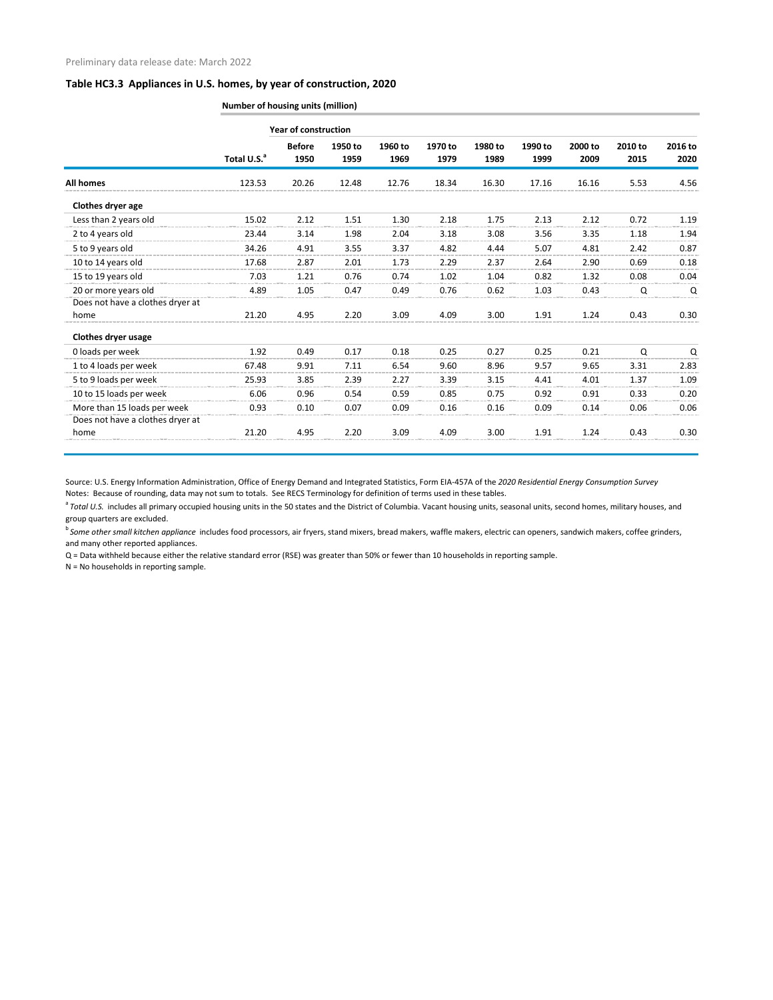| <b>Number of housing units (million)</b> |  |
|------------------------------------------|--|
|                                          |  |

|                                  | <b>Year of construction</b> |                       |                 |                 |                 |                 |                 |                 |                 |                 |
|----------------------------------|-----------------------------|-----------------------|-----------------|-----------------|-----------------|-----------------|-----------------|-----------------|-----------------|-----------------|
|                                  | Total U.S. <sup>a</sup>     | <b>Before</b><br>1950 | 1950 to<br>1959 | 1960 to<br>1969 | 1970 to<br>1979 | 1980 to<br>1989 | 1990 to<br>1999 | 2000 to<br>2009 | 2010 to<br>2015 | 2016 to<br>2020 |
| <b>All homes</b>                 | 123.53                      | 20.26                 | 12.48           | 12.76           | 18.34           | 16.30           | 17.16           | 16.16           | 5.53            | 4.56            |
| Clothes dryer age                |                             |                       |                 |                 |                 |                 |                 |                 |                 |                 |
| Less than 2 years old            | 15.02                       | 2.12                  | 1.51            | 1.30            | 2.18            | 1.75            | 2.13            | 2.12            | 0.72            | 1.19            |
| 2 to 4 years old                 | 23.44                       | 3.14                  | 1.98            | 2.04            | 3.18            | 3.08            | 3.56            | 3.35            | 1.18            | 1.94            |
| 5 to 9 years old                 | 34.26                       | 4.91                  | 3.55            | 3.37            | 4.82            | 4.44            | 5.07            | 4.81            | 2.42            | 0.87            |
| 10 to 14 years old               | 17.68                       | 2.87                  | 2.01            | 1.73            | 2.29            | 2.37            | 2.64            | 2.90            | 0.69            | 0.18            |
| 15 to 19 years old               | 7.03                        | 1.21                  | 0.76            | 0.74            | 1.02            | 1.04            | 0.82            | 1.32            | 0.08            | 0.04            |
| 20 or more years old             | 4.89                        | 1.05                  | 0.47            | 0.49            | 0.76            | 0.62            | 1.03            | 0.43            | Q               | Q               |
| Does not have a clothes dryer at |                             |                       |                 |                 |                 |                 |                 |                 |                 |                 |
| home                             | 21.20                       | 4.95                  | 2.20            | 3.09            | 4.09            | 3.00            | 1.91            | 1.24            | 0.43            | 0.30            |
| <b>Clothes dryer usage</b>       |                             |                       |                 |                 |                 |                 |                 |                 |                 |                 |
| 0 loads per week                 | 1.92                        | 0.49                  | 0.17            | 0.18            | 0.25            | 0.27            | 0.25            | 0.21            | Q               | Q               |
| 1 to 4 loads per week            | 67.48                       | 9.91                  | 7.11            | 6.54            | 9.60            | 8.96            | 9.57            | 9.65            | 3.31            | 2.83            |
| 5 to 9 loads per week            | 25.93                       | 3.85                  | 2.39            | 2.27            | 3.39            | 3.15            | 4.41            | 4.01            | 1.37            | 1.09            |
| 10 to 15 loads per week          | 6.06                        | 0.96                  | 0.54            | 0.59            | 0.85            | 0.75            | 0.92            | 0.91            | 0.33            | 0.20            |
| More than 15 loads per week      | 0.93                        | 0.10                  | 0.07            | 0.09            | 0.16            | 0.16            | 0.09            | 0.14            | 0.06            | 0.06            |
| Does not have a clothes dryer at |                             |                       |                 |                 |                 |                 |                 |                 |                 |                 |
| home                             | 21.20                       | 4.95                  | 2.20            | 3.09            | 4.09            | 3.00            | 1.91            | 1.24            | 0.43            | 0.30            |

Source: U.S. Energy Information Administration, Office of Energy Demand and Integrated Statistics, Form EIA-457A of the *2020 Residential Energy Consumption Survey* Notes: Because of rounding, data may not sum to totals. See RECS Terminology for definition of terms used in these tables.

<sup>a</sup> Total U.S. includes all primary occupied housing units in the 50 states and the District of Columbia. Vacant housing units, seasonal units, second homes, military houses, and group quarters are excluded.

<sup>b</sup> Some other small kitchen appliance includes food processors, air fryers, stand mixers, bread makers, waffle makers, electric can openers, sandwich makers, coffee grinders, and many other reported appliances.

Q = Data withheld because either the relative standard error (RSE) was greater than 50% or fewer than 10 households in reporting sample.

N = No households in reporting sample.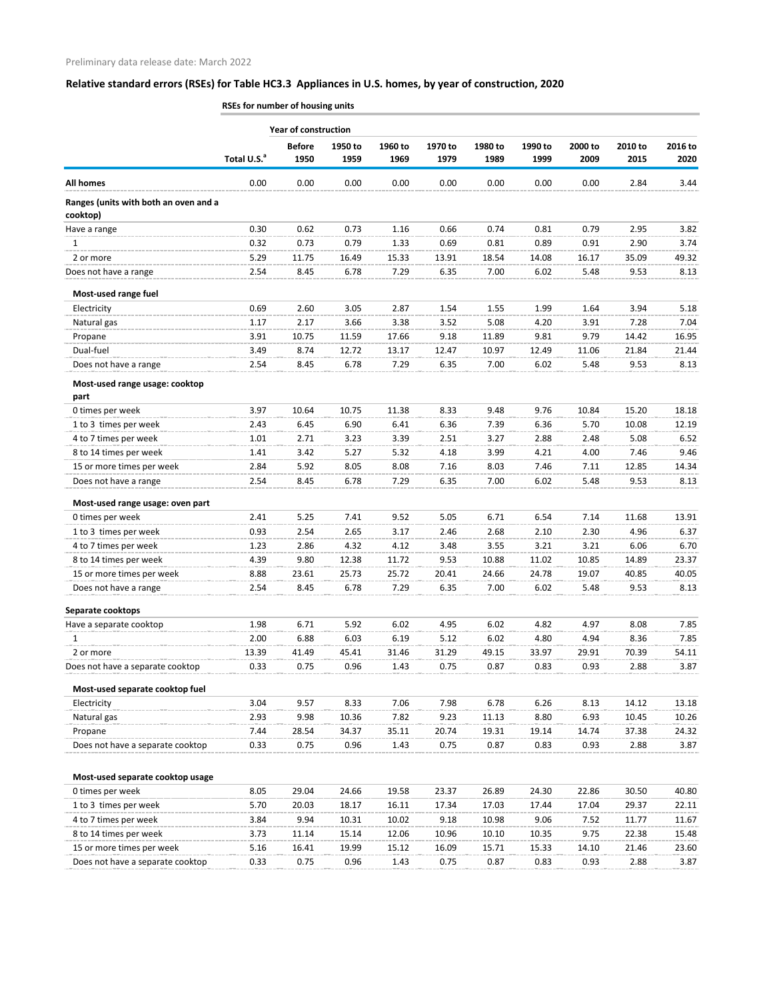|                                                   | RSEs for number of housing units |                             |                 |                 |                 |                 |                 |                 |                 |                 |  |  |
|---------------------------------------------------|----------------------------------|-----------------------------|-----------------|-----------------|-----------------|-----------------|-----------------|-----------------|-----------------|-----------------|--|--|
|                                                   |                                  | <b>Year of construction</b> |                 |                 |                 |                 |                 |                 |                 |                 |  |  |
|                                                   | Total U.S. <sup>a</sup>          | <b>Before</b><br>1950       | 1950 to<br>1959 | 1960 to<br>1969 | 1970 to<br>1979 | 1980 to<br>1989 | 1990 to<br>1999 | 2000 to<br>2009 | 2010 to<br>2015 | 2016 to<br>2020 |  |  |
| <b>All homes</b>                                  | 0.00                             | 0.00                        | 0.00            | 0.00            | 0.00            | 0.00            | 0.00            | 0.00            | 2.84            | 3.44            |  |  |
| Ranges (units with both an oven and a<br>cooktop) |                                  |                             |                 |                 |                 |                 |                 |                 |                 |                 |  |  |
| Have a range                                      | 0.30                             | 0.62                        | 0.73            | 1.16            | 0.66            | 0.74            | 0.81            | 0.79            | 2.95            | 3.82            |  |  |
| 1                                                 | 0.32                             | 0.73                        | 0.79            | 1.33            | 0.69            | 0.81            | 0.89            | 0.91            | 2.90            | 3.74            |  |  |
| 2 or more                                         | 5.29                             | 11.75                       | 16.49           | 15.33           | 13.91           | 18.54           | 14.08           | 16.17           | 35.09           | 49.32           |  |  |
| Does not have a range                             | 2.54                             | 8.45                        | 6.78            | 7.29            | 6.35            | 7.00            | 6.02            | 5.48            | 9.53            | 8.13            |  |  |
| Most-used range fuel                              |                                  |                             |                 |                 |                 |                 |                 |                 |                 |                 |  |  |
| Electricity                                       | 0.69                             | 2.60                        | 3.05            | 2.87            | 1.54            | 1.55            | 1.99            | 1.64            | 3.94            | 5.18            |  |  |
| Natural gas                                       | 1.17                             | 2.17                        | 3.66            | 3.38            | 3.52            | 5.08            | 4.20            | 3.91            | 7.28            | 7.04            |  |  |
| Propane                                           | 3.91                             | 10.75                       | 11.59           | 17.66           | 9.18            | 11.89           | 9.81            | 9.79            | 14.42           | 16.95           |  |  |
| Dual-fuel                                         | 3.49                             | 8.74                        | 12.72           | 13.17           | 12.47           | 10.97           | 12.49           | 11.06           | 21.84           | 21.44           |  |  |
| Does not have a range                             | 2.54                             | 8.45                        | 6.78            | 7.29            | 6.35            | 7.00            | 6.02            | 5.48            | 9.53            | 8.13            |  |  |
| Most-used range usage: cooktop<br>part            |                                  |                             |                 |                 |                 |                 |                 |                 |                 |                 |  |  |
| 0 times per week                                  | 3.97                             | 10.64                       | 10.75           | 11.38           | 8.33            | 9.48            | 9.76            | 10.84           | 15.20           | 18.18           |  |  |
| 1 to 3 times per week                             | 2.43                             | 6.45                        | 6.90            | 6.41            | 6.36            | 7.39            | 6.36            | 5.70            | 10.08           | 12.19           |  |  |
| 4 to 7 times per week                             | 1.01                             | 2.71                        | 3.23            | 3.39            | 2.51            | 3.27            | 2.88            | 2.48            | 5.08            | 6.52            |  |  |
| 8 to 14 times per week                            | 1.41                             | 3.42                        | 5.27            | 5.32            | 4.18            | 3.99            | 4.21            | 4.00            | 7.46            | 9.46            |  |  |
| 15 or more times per week                         | 2.84                             | 5.92                        | 8.05            | 8.08            | 7.16            | 8.03            | 7.46            | 7.11            | 12.85           | 14.34           |  |  |
| Does not have a range                             | 2.54                             | 8.45                        | 6.78            | 7.29            | 6.35            | 7.00            | 6.02            | 5.48            | 9.53            | 8.13            |  |  |
| Most-used range usage: oven part                  |                                  |                             |                 |                 |                 |                 |                 |                 |                 |                 |  |  |
| 0 times per week                                  | 2.41                             | 5.25                        | 7.41            | 9.52            | 5.05            | 6.71            | 6.54            | 7.14            | 11.68           | 13.91           |  |  |
| 1 to 3 times per week                             | 0.93                             | 2.54                        | 2.65            | 3.17            | 2.46            | 2.68            | 2.10            | 2.30            | 4.96            | 6.37            |  |  |
| 4 to 7 times per week                             | 1.23                             | 2.86                        | 4.32            | 4.12            | 3.48            | 3.55            | 3.21            | 3.21            | 6.06            | 6.70            |  |  |
| 8 to 14 times per week                            | 4.39                             | 9.80                        | 12.38           | 11.72           | 9.53            | 10.88           | 11.02           | 10.85           | 14.89           | 23.37           |  |  |
| 15 or more times per week                         | 8.88                             | 23.61                       | 25.73           | 25.72           | 20.41           | 24.66           | 24.78           | 19.07           | 40.85           | 40.05           |  |  |
| Does not have a range                             | 2.54                             | 8.45                        | 6.78            | 7.29            | 6.35            | 7.00            | 6.02            | 5.48            | 9.53            | 8.13            |  |  |
| Separate cooktops                                 |                                  |                             |                 |                 |                 |                 |                 |                 |                 |                 |  |  |
| Have a separate cooktop                           | 1.98                             | 6.71                        | 5.92            | 6.02            | 4.95            | 6.02            | 4.82            | 4.97            | 8.08            | 7.85            |  |  |
| 1                                                 | 2.00                             | 6.88                        | 6.03            | 6.19            | 5.12            | 6.02            | 4.80            | 4.94            | 8.36            | 7.85            |  |  |
| 2 or more                                         | 13.39                            | 41.49                       | 45.41           | 31.46           | 31.29           | 49.15           | 33.97           | 29.91           | 70.39           | 54.11           |  |  |
| Does not have a separate cooktop                  | 0.33                             | 0.75                        | 0.96            | 1.43            | 0.75            | 0.87            | 0.83            | 0.93            | 2.88            | 3.87            |  |  |
| Most-used separate cooktop fuel                   |                                  |                             |                 |                 |                 |                 |                 |                 |                 |                 |  |  |
| Electricity                                       | 3.04                             | 9.57                        | 8.33            | 7.06            | 7.98            | 6.78            | 6.26            | 8.13            | 14.12           | 13.18           |  |  |
| Natural gas                                       | 2.93                             | 9.98                        | 10.36           | 7.82            | 9.23            | 11.13           | 8.80            | 6.93            | 10.45           | 10.26           |  |  |
| Propane                                           | 7.44                             | 28.54                       | 34.37           | 35.11           | 20.74           | 19.31           | 19.14           | 14.74           | 37.38           | 24.32           |  |  |
| Does not have a separate cooktop                  | 0.33                             | 0.75                        | 0.96            | 1.43            | 0.75            | 0.87            | 0.83            | 0.93            | 2.88            | 3.87            |  |  |
| Most-used separate cooktop usage                  |                                  |                             |                 |                 |                 |                 |                 |                 |                 |                 |  |  |
| 0 times per week                                  | 8.05                             | 29.04                       | 24.66           | 19.58           | 23.37           | 26.89           | 24.30           | 22.86           | 30.50           | 40.80           |  |  |
| 1 to 3 times per week                             | 5.70                             | 20.03                       | 18.17           | 16.11           | 17.34           | 17.03           | 17.44           | 17.04           | 29.37           | 22.11           |  |  |
| 4 to 7 times per week                             | 3.84                             | 9.94                        | 10.31           | 10.02           | 9.18            | 10.98           | 9.06            | 7.52            | 11.77           | 11.67           |  |  |
| 8 to 14 times per week                            | 3.73                             | 11.14                       | 15.14           | 12.06           | 10.96           | 10.10           | 10.35           | 9.75            | 22.38           | 15.48           |  |  |
| 15 or more times per week                         | 5.16                             | 16.41                       | 19.99           | 15.12           | 16.09           | 15.71           | 15.33           | 14.10           | 21.46           | 23.60           |  |  |
| Does not have a separate cooktop                  | 0.33                             | 0.75                        | 0.96            | 1.43            | 0.75            | 0.87            | 0.83            | 0.93            | 2.88            | 3.87            |  |  |
|                                                   |                                  |                             |                 |                 |                 |                 |                 |                 |                 |                 |  |  |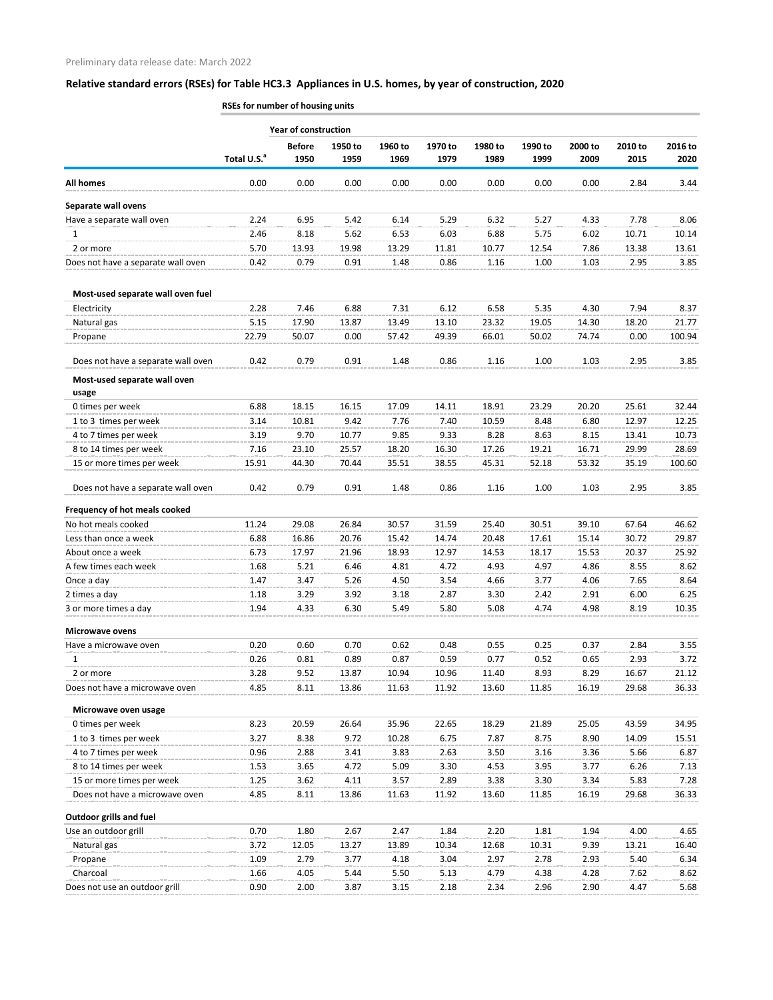|                                    | RSEs for number of housing units |                             |                 |                 |                 |                 |                 |                 |                 |                 |  |  |
|------------------------------------|----------------------------------|-----------------------------|-----------------|-----------------|-----------------|-----------------|-----------------|-----------------|-----------------|-----------------|--|--|
|                                    |                                  | <b>Year of construction</b> |                 |                 |                 |                 |                 |                 |                 |                 |  |  |
|                                    | Total U.S. <sup>a</sup>          | <b>Before</b><br>1950       | 1950 to<br>1959 | 1960 to<br>1969 | 1970 to<br>1979 | 1980 to<br>1989 | 1990 to<br>1999 | 2000 to<br>2009 | 2010 to<br>2015 | 2016 to<br>2020 |  |  |
| <b>All homes</b>                   | 0.00                             | 0.00                        | 0.00            | 0.00            | 0.00            | 0.00            | 0.00            | 0.00            | 2.84            | 3.44            |  |  |
| Separate wall ovens                |                                  |                             |                 |                 |                 |                 |                 |                 |                 |                 |  |  |
| Have a separate wall oven          | 2.24                             | 6.95                        | 5.42            | 6.14            | 5.29            | 6.32            | 5.27            | 4.33            | 7.78            | 8.06            |  |  |
| 1                                  | 2.46                             | 8.18                        | 5.62            | 6.53            | 6.03            | 6.88            | 5.75            | 6.02            | 10.71           | 10.14           |  |  |
| 2 or more                          | 5.70                             | 13.93                       | 19.98           | 13.29           | 11.81           | 10.77           | 12.54           | 7.86            | 13.38           | 13.61           |  |  |
| Does not have a separate wall oven | 0.42                             | 0.79                        | 0.91            | 1.48            | 0.86            | 1.16            | 1.00            | 1.03            | 2.95            | 3.85            |  |  |
| Most-used separate wall oven fuel  |                                  |                             |                 |                 |                 |                 |                 |                 |                 |                 |  |  |
| Electricity                        | 2.28                             | 7.46                        | 6.88            | 7.31            | 6.12            | 6.58            | 5.35            | 4.30            | 7.94            | 8.37            |  |  |
| Natural gas                        | 5.15                             | 17.90                       | 13.87           | 13.49           | 13.10           | 23.32           | 19.05           | 14.30           | 18.20           | 21.77           |  |  |
| Propane                            | 22.79                            | 50.07                       | 0.00            | 57.42           | 49.39           | 66.01           | 50.02           | 74.74           | 0.00            | 100.94          |  |  |
| Does not have a separate wall oven | 0.42                             | 0.79                        | 0.91            | 1.48            | 0.86            | 1.16            | 1.00            | 1.03            | 2.95            | 3.85            |  |  |
| Most-used separate wall oven       |                                  |                             |                 |                 |                 |                 |                 |                 |                 |                 |  |  |
| usage                              |                                  |                             |                 |                 |                 |                 |                 |                 |                 |                 |  |  |
| 0 times per week                   | 6.88                             | 18.15                       | 16.15           | 17.09           | 14.11           | 18.91           | 23.29           | 20.20           | 25.61           | 32.44           |  |  |
| 1 to 3 times per week              | 3.14                             | 10.81                       | 9.42            | 7.76            | 7.40            | 10.59           | 8.48            | 6.80            | 12.97           | 12.25           |  |  |
| 4 to 7 times per week              | 3.19                             | 9.70                        | 10.77           | 9.85            | 9.33            | 8.28            | 8.63            | 8.15            | 13.41           | 10.73           |  |  |
| 8 to 14 times per week             | 7.16                             | 23.10                       | 25.57           | 18.20           | 16.30           | 17.26           | 19.21           | 16.71           | 29.99           | 28.69           |  |  |
| 15 or more times per week          | 15.91                            | 44.30                       | 70.44           | 35.51           | 38.55           | 45.31           | 52.18           | 53.32           | 35.19           | 100.60          |  |  |
| Does not have a separate wall oven | 0.42                             | 0.79                        | 0.91            | 1.48            | 0.86            | 1.16            | 1.00            | 1.03            | 2.95            | 3.85            |  |  |
| Frequency of hot meals cooked      |                                  |                             |                 |                 |                 |                 |                 |                 |                 |                 |  |  |
| No hot meals cooked                | 11.24                            | 29.08                       | 26.84           | 30.57           | 31.59           | 25.40           | 30.51           | 39.10           | 67.64           | 46.62           |  |  |
| Less than once a week              | 6.88                             | 16.86                       | 20.76           | 15.42           | 14.74           | 20.48           | 17.61           | 15.14           | 30.72           | 29.87           |  |  |
| About once a week                  | 6.73                             | 17.97                       | 21.96           | 18.93           | 12.97           | 14.53           | 18.17           | 15.53           | 20.37           | 25.92           |  |  |
| A few times each week              | 1.68                             | 5.21                        | 6.46            | 4.81            | 4.72            | 4.93            | 4.97            | 4.86            | 8.55            | 8.62            |  |  |
| Once a day                         | 1.47                             | 3.47                        | 5.26            | 4.50            | 3.54            | 4.66            | 3.77            | 4.06            | 7.65            | 8.64            |  |  |
| 2 times a day                      | 1.18                             | 3.29                        | 3.92            | 3.18            | 2.87            | 3.30            | 2.42            | 2.91            | 6.00            | 6.25            |  |  |
| 3 or more times a day              | 1.94                             | 4.33                        | 6.30            | 5.49            | 5.80            | 5.08            | 4.74            | 4.98            | 8.19            | 10.35           |  |  |
| <b>Microwave ovens</b>             |                                  |                             |                 |                 |                 |                 |                 |                 |                 |                 |  |  |
| Have a microwave oven              | 0.20                             | 0.60                        | 0.70            | 0.62            | 0.48            | 0.55            | 0.25            | 0.37            | 2.84            | 3.55            |  |  |
| 1                                  | 0.26                             | 0.81                        | 0.89            | 0.87            | 0.59            | 0.77            | 0.52            | 0.65            | 2.93            | 3.72            |  |  |
| 2 or more                          | 3.28                             | 9.52                        | 13.87           | 10.94           | 10.96           | 11.40           | 8.93            | 8.29            | 16.67           | 21.12           |  |  |
| Does not have a microwave oven     | 4.85                             | 8.11                        | 13.86           | 11.63           | 11.92           | 13.60           | 11.85           | 16.19           | 29.68           | 36.33           |  |  |
| Microwave oven usage               |                                  |                             |                 |                 |                 |                 |                 |                 |                 |                 |  |  |
| 0 times per week                   | 8.23                             | 20.59                       | 26.64           | 35.96           | 22.65           | 18.29           | 21.89           | 25.05           | 43.59           | 34.95           |  |  |
| 1 to 3 times per week              | 3.27                             | 8.38                        | 9.72            | 10.28           | 6.75            | 7.87            | 8.75            | 8.90            | 14.09           | 15.51           |  |  |
| 4 to 7 times per week              | 0.96                             | 2.88                        | 3.41            | 3.83            | 2.63            | 3.50            | 3.16            | 3.36            | 5.66            | 6.87            |  |  |
| 8 to 14 times per week             | 1.53                             | 3.65                        | 4.72            | 5.09            | 3.30            | 4.53            | 3.95            | 3.77            | 6.26            | 7.13            |  |  |
| 15 or more times per week          | 1.25                             | 3.62                        | 4.11            | 3.57            | 2.89            | 3.38            | 3.30            | 3.34            | 5.83            | 7.28            |  |  |
| Does not have a microwave oven     | 4.85                             | 8.11                        | 13.86           | 11.63           | 11.92           | 13.60           | 11.85           | 16.19           | 29.68           | 36.33           |  |  |
| <b>Outdoor grills and fuel</b>     |                                  |                             |                 |                 |                 |                 |                 |                 |                 |                 |  |  |
| Use an outdoor grill               | 0.70                             | 1.80                        | 2.67            | 2.47            | 1.84            | 2.20            | 1.81            | 1.94            | 4.00            | 4.65            |  |  |
| Natural gas                        | 3.72                             | 12.05                       | 13.27           | 13.89           | 10.34           | 12.68           | 10.31           | 9.39            | 13.21           | 16.40           |  |  |
| Propane                            | 1.09                             | 2.79                        | 3.77            | 4.18            | 3.04            | 2.97            | 2.78            | 2.93            | 5.40            | 6.34            |  |  |
| Charcoal                           | 1.66                             | 4.05                        | 5.44            | 5.50            | 5.13            | 4.79            | 4.38            | 4.28            | 7.62            | 8.62            |  |  |
| Does not use an outdoor grill      | 0.90                             | 2.00                        | 3.87            | 3.15            | 2.18            | 2.34            | 2.96            | 2.90            | 4.47            | 5.68            |  |  |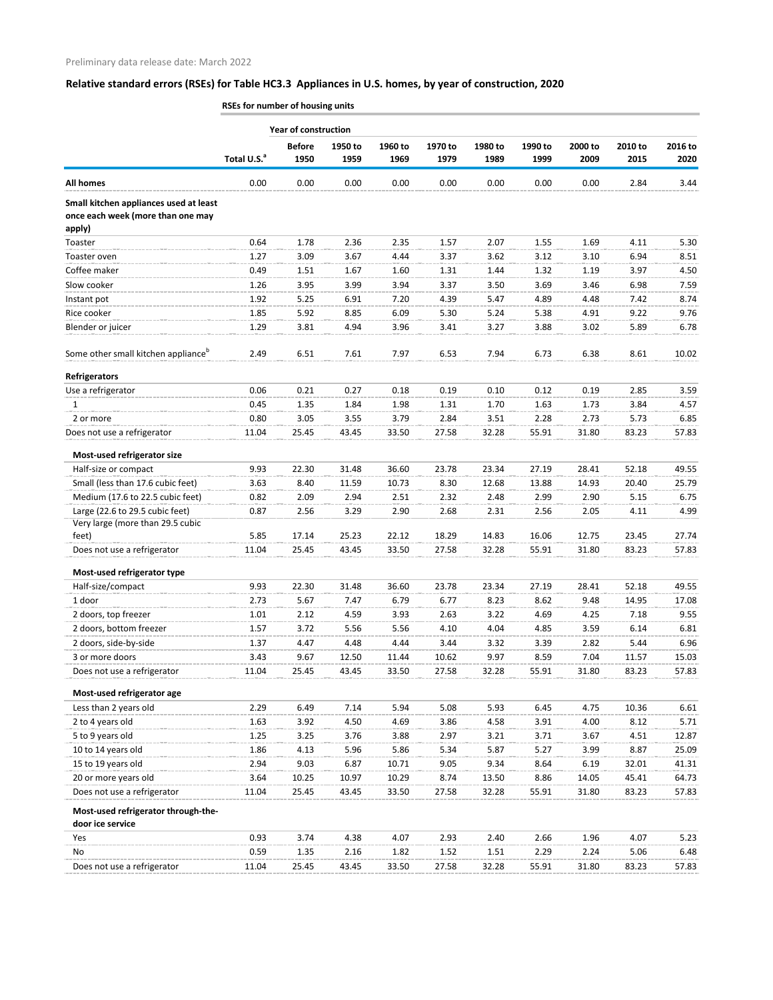**RSEs for number of housing units**

|                                                                                       |                         | Year of construction |         |         |         |         |         |         |         |         |
|---------------------------------------------------------------------------------------|-------------------------|----------------------|---------|---------|---------|---------|---------|---------|---------|---------|
|                                                                                       |                         | <b>Before</b>        | 1950 to | 1960 to | 1970 to | 1980 to | 1990 to | 2000 to | 2010 to | 2016 to |
|                                                                                       | Total U.S. <sup>a</sup> | 1950                 | 1959    | 1969    | 1979    | 1989    | 1999    | 2009    | 2015    | 2020    |
| <b>All homes</b>                                                                      | 0.00                    | 0.00                 | 0.00    | 0.00    | 0.00    | 0.00    | 0.00    | 0.00    | 2.84    | 3.44    |
| Small kitchen appliances used at least<br>once each week (more than one may<br>apply) |                         |                      |         |         |         |         |         |         |         |         |
| Toaster                                                                               | 0.64                    | 1.78                 | 2.36    | 2.35    | 1.57    | 2.07    | 1.55    | 1.69    | 4.11    | 5.30    |
| Toaster oven                                                                          | 1.27                    | 3.09                 | 3.67    | 4.44    | 3.37    | 3.62    | 3.12    | 3.10    | 6.94    | 8.51    |
| Coffee maker                                                                          | 0.49                    | 1.51                 | 1.67    | 1.60    | 1.31    | 1.44    | 1.32    | 1.19    | 3.97    | 4.50    |
| Slow cooker                                                                           | 1.26                    | 3.95                 | 3.99    | 3.94    | 3.37    | 3.50    | 3.69    | 3.46    | 6.98    | 7.59    |
| Instant pot                                                                           | 1.92                    | 5.25                 | 6.91    | 7.20    | 4.39    | 5.47    | 4.89    | 4.48    | 7.42    | 8.74    |
| Rice cooker                                                                           | 1.85                    | 5.92                 | 8.85    | 6.09    | 5.30    | 5.24    | 5.38    | 4.91    | 9.22    | 9.76    |
| Blender or juicer                                                                     | 1.29                    | 3.81                 | 4.94    | 3.96    | 3.41    | 3.27    | 3.88    | 3.02    | 5.89    | 6.78    |
| Some other small kitchen appliance <sup>b</sup>                                       | 2.49                    | 6.51                 | 7.61    | 7.97    | 6.53    | 7.94    | 6.73    | 6.38    | 8.61    | 10.02   |
| <b>Refrigerators</b>                                                                  |                         |                      |         |         |         |         |         |         |         |         |
| Use a refrigerator                                                                    | 0.06                    | 0.21                 | 0.27    | 0.18    | 0.19    | 0.10    | 0.12    | 0.19    | 2.85    | 3.59    |
| 1                                                                                     | 0.45                    | 1.35                 | 1.84    | 1.98    | 1.31    | 1.70    | 1.63    | 1.73    | 3.84    | 4.57    |
| 2 or more                                                                             | 0.80                    | 3.05                 | 3.55    | 3.79    | 2.84    | 3.51    | 2.28    | 2.73    | 5.73    | 6.85    |
| Does not use a refrigerator                                                           | 11.04                   | 25.45                | 43.45   | 33.50   | 27.58   | 32.28   | 55.91   | 31.80   | 83.23   | 57.83   |
| Most-used refrigerator size                                                           |                         |                      |         |         |         |         |         |         |         |         |
| Half-size or compact                                                                  | 9.93                    | 22.30                | 31.48   | 36.60   | 23.78   | 23.34   | 27.19   | 28.41   | 52.18   | 49.55   |
| Small (less than 17.6 cubic feet)                                                     | 3.63                    | 8.40                 | 11.59   | 10.73   | 8.30    | 12.68   | 13.88   | 14.93   | 20.40   | 25.79   |
| Medium (17.6 to 22.5 cubic feet)                                                      | 0.82                    | 2.09                 | 2.94    | 2.51    | 2.32    | 2.48    | 2.99    | 2.90    | 5.15    | 6.75    |
| Large (22.6 to 29.5 cubic feet)                                                       | 0.87                    | 2.56                 | 3.29    | 2.90    | 2.68    | 2.31    | 2.56    | 2.05    | 4.11    | 4.99    |
| Very large (more than 29.5 cubic                                                      |                         |                      |         |         |         |         |         |         |         |         |
| feet)                                                                                 | 5.85                    | 17.14                | 25.23   | 22.12   | 18.29   | 14.83   | 16.06   | 12.75   | 23.45   | 27.74   |
| Does not use a refrigerator                                                           | 11.04                   | 25.45                | 43.45   | 33.50   | 27.58   | 32.28   | 55.91   | 31.80   | 83.23   | 57.83   |
| Most-used refrigerator type                                                           |                         |                      |         |         |         |         |         |         |         |         |
| Half-size/compact                                                                     | 9.93                    | 22.30                | 31.48   | 36.60   | 23.78   | 23.34   | 27.19   | 28.41   | 52.18   | 49.55   |
| 1 door                                                                                | 2.73                    | 5.67                 | 7.47    | 6.79    | 6.77    | 8.23    | 8.62    | 9.48    | 14.95   | 17.08   |
| 2 doors, top freezer                                                                  | 1.01                    | 2.12                 | 4.59    | 3.93    | 2.63    | 3.22    | 4.69    | 4.25    | 7.18    | 9.55    |
| 2 doors, bottom freezer                                                               | 1.57                    | 3.72                 | 5.56    | 5.56    | 4.10    | 4.04    | 4.85    | 3.59    | 6.14    | 6.81    |
| 2 doors, side-by-side                                                                 | 1.37                    | 4.47                 | 4.48    | 4.44    | 3.44    | 3.32    | 3.39    | 2.82    | 5.44    | 6.96    |
| 3 or more doors                                                                       | 3.43                    | 9.67                 | 12.50   | 11.44   | 10.62   | 9.97    | 8.59    | 7.04    | 11.57   | 15.03   |
| Does not use a refrigerator                                                           | 11.04                   | 25.45                | 43.45   | 33.50   | 27.58   | 32.28   | 55.91   | 31.80   | 83.23   | 57.83   |
| Most-used refrigerator age                                                            |                         |                      |         |         |         |         |         |         |         |         |
| Less than 2 years old                                                                 | 2.29                    | 6.49                 | 7.14    | 5.94    | 5.08    | 5.93    | 6.45    | 4.75    | 10.36   | 6.61    |
| 2 to 4 years old                                                                      | 1.63                    | 3.92                 | 4.50    | 4.69    | 3.86    | 4.58    | 3.91    | 4.00    | 8.12    | 5.71    |
| 5 to 9 years old                                                                      | 1.25                    | 3.25                 | 3.76    | 3.88    | 2.97    | 3.21    | 3.71    | 3.67    | 4.51    | 12.87   |
| 10 to 14 years old                                                                    | 1.86                    | 4.13                 | 5.96    | 5.86    | 5.34    | 5.87    | 5.27    | 3.99    | 8.87    | 25.09   |
| 15 to 19 years old                                                                    | 2.94                    | 9.03                 | 6.87    | 10.71   | 9.05    | 9.34    | 8.64    | 6.19    | 32.01   | 41.31   |
| 20 or more years old                                                                  | 3.64                    | 10.25                | 10.97   | 10.29   | 8.74    | 13.50   | 8.86    | 14.05   | 45.41   | 64.73   |
| Does not use a refrigerator                                                           | 11.04                   | 25.45                | 43.45   | 33.50   | 27.58   | 32.28   | 55.91   | 31.80   | 83.23   | 57.83   |
| Most-used refrigerator through-the-<br>door ice service                               |                         |                      |         |         |         |         |         |         |         |         |
| Yes                                                                                   | 0.93                    | 3.74                 | 4.38    | 4.07    | 2.93    | 2.40    | 2.66    | 1.96    | 4.07    | 5.23    |
| No                                                                                    | 0.59                    | 1.35                 | 2.16    | 1.82    | 1.52    | 1.51    | 2.29    | 2.24    | 5.06    | 6.48    |
| Does not use a refrigerator                                                           | 11.04                   | 25.45                | 43.45   | 33.50   | 27.58   | 32.28   | 55.91   | 31.80   | 83.23   | 57.83   |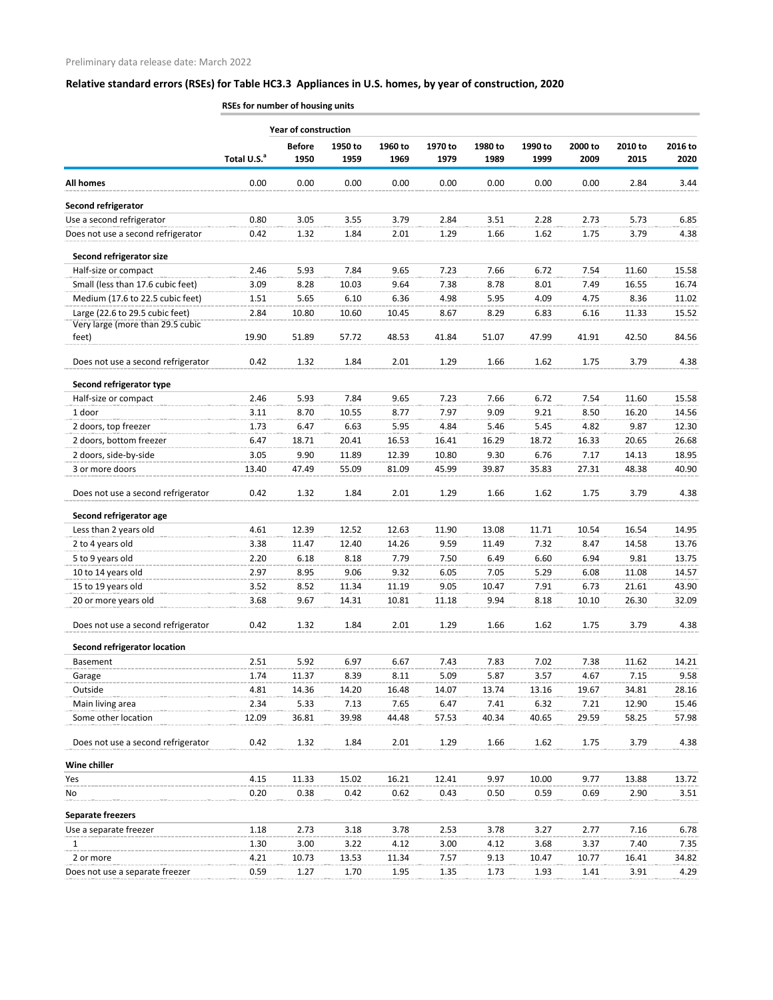|                                     | RSEs for number of housing units |                             |                 |                 |                 |                 |                 |                 |                 |                 |  |  |
|-------------------------------------|----------------------------------|-----------------------------|-----------------|-----------------|-----------------|-----------------|-----------------|-----------------|-----------------|-----------------|--|--|
|                                     |                                  | <b>Year of construction</b> |                 |                 |                 |                 |                 |                 |                 |                 |  |  |
|                                     | Total U.S. <sup>a</sup>          | <b>Before</b><br>1950       | 1950 to<br>1959 | 1960 to<br>1969 | 1970 to<br>1979 | 1980 to<br>1989 | 1990 to<br>1999 | 2000 to<br>2009 | 2010 to<br>2015 | 2016 to<br>2020 |  |  |
| <b>All homes</b>                    | 0.00                             | 0.00                        | 0.00            | 0.00            | 0.00            | 0.00            | 0.00            | 0.00            | 2.84            | 3.44            |  |  |
| Second refrigerator                 |                                  |                             |                 |                 |                 |                 |                 |                 |                 |                 |  |  |
| Use a second refrigerator           | 0.80                             | 3.05                        | 3.55            | 3.79            | 2.84            | 3.51            | 2.28            | 2.73            | 5.73            | 6.85            |  |  |
| Does not use a second refrigerator  | 0.42                             | 1.32                        | 1.84            | 2.01            | 1.29            | 1.66            | 1.62            | 1.75            | 3.79            | 4.38            |  |  |
| Second refrigerator size            |                                  |                             |                 |                 |                 |                 |                 |                 |                 |                 |  |  |
| Half-size or compact                | 2.46                             | 5.93                        | 7.84            | 9.65            | 7.23            | 7.66            | 6.72            | 7.54            | 11.60           | 15.58           |  |  |
| Small (less than 17.6 cubic feet)   | 3.09                             | 8.28                        | 10.03           | 9.64            | 7.38            | 8.78            | 8.01            | 7.49            | 16.55           | 16.74           |  |  |
| Medium (17.6 to 22.5 cubic feet)    | 1.51                             | 5.65                        | 6.10            | 6.36            | 4.98            | 5.95            | 4.09            | 4.75            | 8.36            | 11.02           |  |  |
| Large (22.6 to 29.5 cubic feet)     | 2.84                             | 10.80                       | 10.60           | 10.45           | 8.67            | 8.29            | 6.83            | 6.16            | 11.33           | 15.52           |  |  |
| Very large (more than 29.5 cubic    |                                  |                             |                 |                 |                 |                 |                 |                 |                 |                 |  |  |
| feet)                               | 19.90                            | 51.89                       | 57.72           | 48.53           | 41.84           | 51.07           | 47.99           | 41.91           | 42.50           | 84.56           |  |  |
| Does not use a second refrigerator  | 0.42                             | 1.32                        | 1.84            | 2.01            | 1.29            | 1.66            | 1.62            | 1.75            | 3.79            | 4.38            |  |  |
| Second refrigerator type            |                                  |                             |                 |                 |                 |                 |                 |                 |                 |                 |  |  |
| Half-size or compact                | 2.46                             | 5.93                        | 7.84            | 9.65            | 7.23            | 7.66            | 6.72            | 7.54            | 11.60           | 15.58           |  |  |
| 1 door                              | 3.11                             | 8.70                        | 10.55           | 8.77            | 7.97            | 9.09            | 9.21            | 8.50            | 16.20           | 14.56           |  |  |
| 2 doors, top freezer                | 1.73                             | 6.47                        | 6.63            | 5.95            | 4.84            | 5.46            | 5.45            | 4.82            | 9.87            | 12.30           |  |  |
| 2 doors, bottom freezer             | 6.47                             | 18.71                       | 20.41           | 16.53           | 16.41           | 16.29           | 18.72           | 16.33           | 20.65           | 26.68           |  |  |
| 2 doors, side-by-side               | 3.05                             | 9.90                        | 11.89           | 12.39           | 10.80           | 9.30            | 6.76            | 7.17            | 14.13           | 18.95           |  |  |
| 3 or more doors                     | 13.40                            | 47.49                       | 55.09           | 81.09           | 45.99           | 39.87           | 35.83           | 27.31           | 48.38           | 40.90           |  |  |
| Does not use a second refrigerator  | 0.42                             | 1.32                        | 1.84            | 2.01            | 1.29            | 1.66            | 1.62            | 1.75            | 3.79            | 4.38            |  |  |
| Second refrigerator age             |                                  |                             |                 |                 |                 |                 |                 |                 |                 |                 |  |  |
| Less than 2 years old               | 4.61                             | 12.39                       | 12.52           | 12.63           | 11.90           | 13.08           | 11.71           | 10.54           | 16.54           | 14.95           |  |  |
| 2 to 4 years old                    | 3.38                             | 11.47                       | 12.40           | 14.26           | 9.59            | 11.49           | 7.32            | 8.47            | 14.58           | 13.76           |  |  |
| 5 to 9 years old                    | 2.20                             | 6.18                        | 8.18            | 7.79            | 7.50            | 6.49            | 6.60            | 6.94            | 9.81            | 13.75           |  |  |
| 10 to 14 years old                  | 2.97                             | 8.95                        | 9.06            | 9.32            | 6.05            | 7.05            | 5.29            | 6.08            | 11.08           | 14.57           |  |  |
| 15 to 19 years old                  | 3.52                             | 8.52                        | 11.34           | 11.19           | 9.05            | 10.47           | 7.91            | 6.73            | 21.61           | 43.90           |  |  |
| 20 or more years old                | 3.68                             | 9.67                        | 14.31           | 10.81           | 11.18           | 9.94            | 8.18            | 10.10           | 26.30           | 32.09           |  |  |
| Does not use a second refrigerator  | 0.42                             | 1.32                        | 1.84            | 2.01            | 1.29            | 1.66            | 1.62            | 1.75            | 3.79            | 4.38            |  |  |
| <b>Second refrigerator location</b> |                                  |                             |                 |                 |                 |                 |                 |                 |                 |                 |  |  |
| Basement                            | 2.51                             | 5.92                        | 6.97            | 6.67            | 7.43            | 7.83            | 7.02            | 7.38            | 11.62           | 14.21           |  |  |
| Garage                              | 1.74                             | 11.37                       | 8.39            | 8.11            | 5.09            | 5.87            | 3.57            | 4.67            | 7.15            | 9.58            |  |  |
| Outside                             | 4.81                             | 14.36                       | 14.20           | 16.48           | 14.07           | 13.74           | 13.16           | 19.67           | 34.81           | 28.16           |  |  |
| Main living area                    | 2.34                             | 5.33                        | 7.13            | 7.65            | 6.47            | 7.41            | 6.32            | 7.21            | 12.90           | 15.46           |  |  |
| Some other location                 | 12.09                            | 36.81                       | 39.98           | 44.48           | 57.53           | 40.34           | 40.65           | 29.59           | 58.25           | 57.98           |  |  |
| Does not use a second refrigerator  | 0.42                             | 1.32                        | 1.84            | 2.01            | 1.29            | 1.66            | 1.62            | 1.75            | 3.79            | 4.38            |  |  |
| Wine chiller                        |                                  |                             |                 |                 |                 |                 |                 |                 |                 |                 |  |  |
| Yes                                 | 4.15                             | 11.33                       | 15.02           | 16.21           | 12.41           | 9.97            | 10.00           | 9.77            | 13.88           | 13.72           |  |  |
| No                                  | 0.20                             | 0.38                        | 0.42            | 0.62            | 0.43            | 0.50            | 0.59            | 0.69            | 2.90            | 3.51            |  |  |
| <b>Separate freezers</b>            |                                  |                             |                 |                 |                 |                 |                 |                 |                 |                 |  |  |
| Use a separate freezer              | 1.18                             | 2.73                        | 3.18            | 3.78            | 2.53            | 3.78            | 3.27            | 2.77            | 7.16            | 6.78            |  |  |
| 1                                   | 1.30                             | 3.00                        | 3.22            | 4.12            | 3.00            | 4.12            | 3.68            | 3.37            | 7.40            | 7.35            |  |  |
| 2 or more                           | 4.21                             | 10.73                       | 13.53           | 11.34           | 7.57            | 9.13            | 10.47           | 10.77           | 16.41           | 34.82           |  |  |
| Does not use a separate freezer     | 0.59                             | 1.27                        | 1.70            | 1.95            | 1.35            | 1.73            | 1.93            | 1.41            | 3.91            | 4.29            |  |  |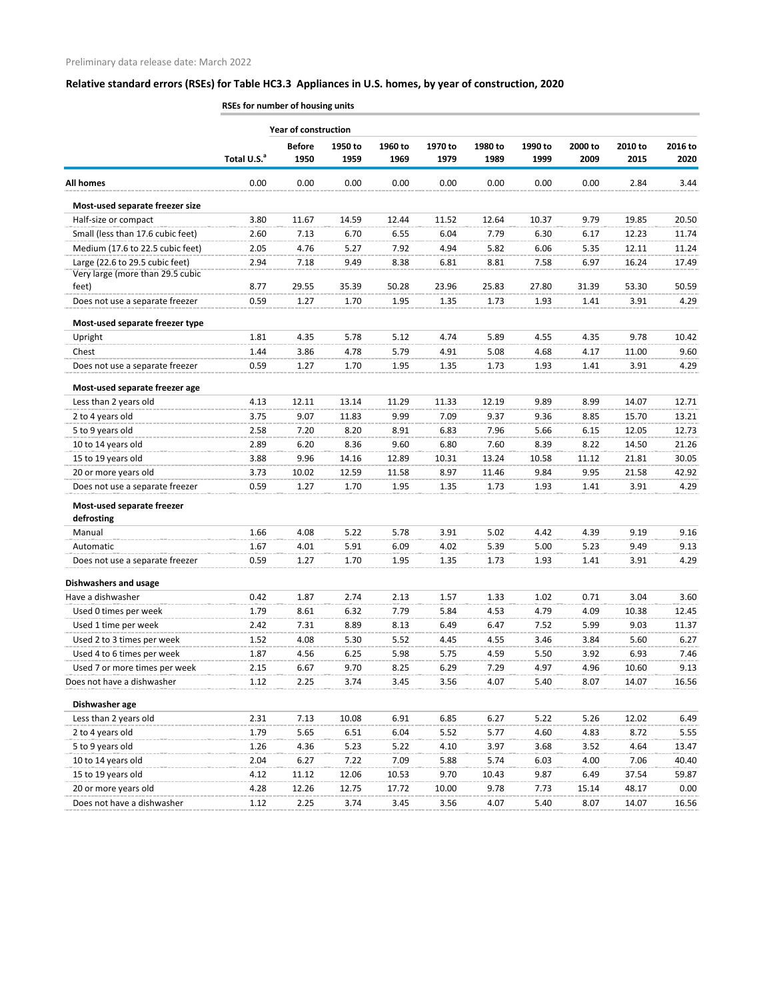|                                          | RSEs for number of housing units |                       |                 |                 |                 |                 |                 |                 |                 |                 |  |
|------------------------------------------|----------------------------------|-----------------------|-----------------|-----------------|-----------------|-----------------|-----------------|-----------------|-----------------|-----------------|--|
|                                          | <b>Year of construction</b>      |                       |                 |                 |                 |                 |                 |                 |                 |                 |  |
|                                          | Total U.S. <sup>a</sup>          | <b>Before</b><br>1950 | 1950 to<br>1959 | 1960 to<br>1969 | 1970 to<br>1979 | 1980 to<br>1989 | 1990 to<br>1999 | 2000 to<br>2009 | 2010 to<br>2015 | 2016 to<br>2020 |  |
| <b>All homes</b>                         | 0.00                             | 0.00                  | 0.00            | 0.00            | 0.00            | 0.00            | 0.00            | 0.00            | 2.84            | 3.44            |  |
| Most-used separate freezer size          |                                  |                       |                 |                 |                 |                 |                 |                 |                 |                 |  |
| Half-size or compact                     | 3.80                             | 11.67                 | 14.59           | 12.44           | 11.52           | 12.64           | 10.37           | 9.79            | 19.85           | 20.50           |  |
| Small (less than 17.6 cubic feet)        | 2.60                             | 7.13                  | 6.70            | 6.55            | 6.04            | 7.79            | 6.30            | 6.17            | 12.23           | 11.74           |  |
| Medium (17.6 to 22.5 cubic feet)         | 2.05                             | 4.76                  | 5.27            | 7.92            | 4.94            | 5.82            | 6.06            | 5.35            | 12.11           | 11.24           |  |
| Large (22.6 to 29.5 cubic feet)          | 2.94                             | 7.18                  | 9.49            | 8.38            | 6.81            | 8.81            | 7.58            | 6.97            | 16.24           | 17.49           |  |
| Very large (more than 29.5 cubic         |                                  |                       |                 |                 |                 |                 |                 |                 |                 |                 |  |
| feet)                                    | 8.77                             | 29.55                 | 35.39           | 50.28           | 23.96           | 25.83           | 27.80           | 31.39           | 53.30           | 50.59           |  |
| Does not use a separate freezer          | 0.59                             | 1.27                  | 1.70            | 1.95            | 1.35            | 1.73            | 1.93            | 1.41            | 3.91            | 4.29            |  |
| Most-used separate freezer type          |                                  |                       |                 |                 |                 |                 |                 |                 |                 |                 |  |
| Upright                                  | 1.81                             | 4.35                  | 5.78            | 5.12            | 4.74            | 5.89            | 4.55            | 4.35            | 9.78            | 10.42           |  |
| Chest                                    | 1.44                             | 3.86                  | 4.78            | 5.79            | 4.91            | 5.08            | 4.68            | 4.17            | 11.00           | 9.60            |  |
| Does not use a separate freezer          | 0.59                             | 1.27                  | 1.70            | 1.95            | 1.35            | 1.73            | 1.93            | 1.41            | 3.91            | 4.29            |  |
| Most-used separate freezer age           |                                  |                       |                 |                 |                 |                 |                 |                 |                 |                 |  |
| Less than 2 years old                    | 4.13                             | 12.11                 | 13.14           | 11.29           | 11.33           | 12.19           | 9.89            | 8.99            | 14.07           | 12.71           |  |
| 2 to 4 years old                         | 3.75                             | 9.07                  | 11.83           | 9.99            | 7.09            | 9.37            | 9.36            | 8.85            | 15.70           | 13.21           |  |
| 5 to 9 years old                         | 2.58                             | 7.20                  | 8.20            | 8.91            | 6.83            | 7.96            | 5.66            | 6.15            | 12.05           | 12.73           |  |
| 10 to 14 years old                       | 2.89                             | 6.20                  | 8.36            | 9.60            | 6.80            | 7.60            | 8.39            | 8.22            | 14.50           | 21.26           |  |
| 15 to 19 years old                       | 3.88                             | 9.96                  | 14.16           | 12.89           | 10.31           | 13.24           | 10.58           | 11.12           | 21.81           | 30.05           |  |
| 20 or more years old                     | 3.73                             | 10.02                 | 12.59           | 11.58           | 8.97            | 11.46           | 9.84            | 9.95            | 21.58           | 42.92           |  |
| Does not use a separate freezer          | 0.59                             | 1.27                  | 1.70            | 1.95            | 1.35            | 1.73            | 1.93            | 1.41            | 3.91            | 4.29            |  |
| Most-used separate freezer<br>defrosting |                                  |                       |                 |                 |                 |                 |                 |                 |                 |                 |  |
| Manual                                   | 1.66                             | 4.08                  | 5.22            | 5.78            | 3.91            | 5.02            | 4.42            | 4.39            | 9.19            | 9.16            |  |
| Automatic                                | 1.67                             | 4.01                  | 5.91            | 6.09            | 4.02            | 5.39            | 5.00            | 5.23            | 9.49            | 9.13            |  |
| Does not use a separate freezer          | 0.59                             | 1.27                  | 1.70            | 1.95            | 1.35            | 1.73            | 1.93            | 1.41            | 3.91            | 4.29            |  |
|                                          |                                  |                       |                 |                 |                 |                 |                 |                 |                 |                 |  |
| <b>Dishwashers and usage</b>             |                                  |                       |                 |                 |                 |                 |                 |                 |                 |                 |  |
| Have a dishwasher                        | 0.42                             | 1.87                  | 2.74            | 2.13            | 1.57            | 1.33            | 1.02            | 0.71            | 3.04            | 3.60            |  |
| Used 0 times per week                    | 1.79                             | 8.61                  | 6.32            | 7.79            | 5.84            | 4.53            | 4.79            | 4.09            | 10.38           | 12.45           |  |
| Used 1 time per week                     | 2.42                             | 7.31                  | 8.89            | 8.13            | 6.49            | 6.47            | 7.52            | 5.99            | 9.03            | 11.37           |  |
| Used 2 to 3 times per week               | 1.52                             | 4.08                  | 5.30            | 5.52            | 4.45            | 4.55            | 3.46            | 3.84            | 5.60            | 6.27            |  |
| Used 4 to 6 times per week               | 1.87                             | 4.56                  | 6.25            | 5.98            | 5.75            | 4.59            | 5.50            | 3.92            | 6.93            | 7.46            |  |
| Used 7 or more times per week            | 2.15                             | 6.67                  | 9.70            | 8.25            | 6.29            | 7.29            | 4.97            | 4.96            | 10.60           | 9.13            |  |
| Does not have a dishwasher               | 1.12                             | 2.25                  | 3.74            | 3.45            | 3.56            | 4.07            | 5.40            | 8.07            | 14.07           | 16.56           |  |
| Dishwasher age                           |                                  |                       |                 |                 |                 |                 |                 |                 |                 |                 |  |
| Less than 2 years old                    | 2.31                             | 7.13                  | 10.08           | 6.91            | 6.85            | 6.27            | 5.22            | 5.26            | 12.02           | 6.49            |  |
| 2 to 4 years old                         | 1.79                             | 5.65                  | 6.51            | 6.04            | 5.52            | 5.77            | 4.60            | 4.83            | 8.72            | 5.55            |  |
| 5 to 9 years old                         | 1.26                             | 4.36                  | 5.23            | 5.22            | 4.10            | 3.97            | 3.68            | 3.52            | 4.64            | 13.47           |  |
| 10 to 14 years old                       | 2.04                             | 6.27                  | 7.22            | 7.09            | 5.88            | 5.74            | 6.03            | 4.00            | 7.06            | 40.40           |  |
| 15 to 19 years old                       | 4.12                             | 11.12                 | 12.06           | 10.53           | 9.70            | 10.43           | 9.87            | 6.49            | 37.54           | 59.87           |  |
| 20 or more years old                     | 4.28                             | 12.26                 | 12.75           | 17.72           | 10.00           | 9.78            | 7.73            | 15.14           | 48.17           | 0.00            |  |
| Does not have a dishwasher               | 1.12                             | 2.25                  | 3.74            | 3.45            | 3.56            | 4.07            | 5.40            | 8.07            | 14.07           | 16.56           |  |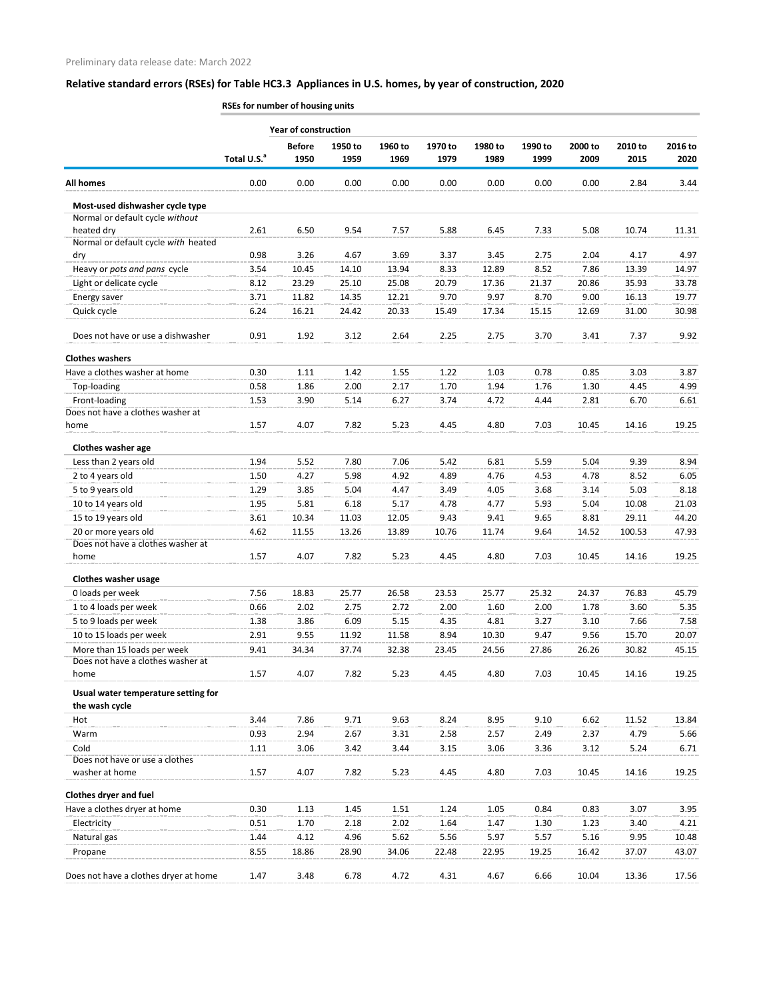|                                                   | <b>ROLLY TO COMPUTE IN THE READER IN THE READER</b> |                       |                 |                 |                 |                 |                 |                 |                 |                 |
|---------------------------------------------------|-----------------------------------------------------|-----------------------|-----------------|-----------------|-----------------|-----------------|-----------------|-----------------|-----------------|-----------------|
|                                                   | <b>Year of construction</b>                         |                       |                 |                 |                 |                 |                 |                 |                 |                 |
|                                                   | Total U.S. <sup>a</sup>                             | <b>Before</b><br>1950 | 1950 to<br>1959 | 1960 to<br>1969 | 1970 to<br>1979 | 1980 to<br>1989 | 1990 to<br>1999 | 2000 to<br>2009 | 2010 to<br>2015 | 2016 to<br>2020 |
| <b>All homes</b>                                  | 0.00                                                | 0.00                  | 0.00            | 0.00            | 0.00            | 0.00            | 0.00            | 0.00            | 2.84            | 3.44            |
| Most-used dishwasher cycle type                   |                                                     |                       |                 |                 |                 |                 |                 |                 |                 |                 |
| Normal or default cycle without                   |                                                     |                       |                 |                 |                 |                 |                 |                 |                 |                 |
| heated dry<br>Normal or default cycle with heated | 2.61                                                | 6.50                  | 9.54            | 7.57            | 5.88            | 6.45            | 7.33            | 5.08            | 10.74           | 11.31           |
| dry                                               | 0.98                                                | 3.26                  | 4.67            | 3.69            | 3.37            | 3.45            | 2.75            | 2.04            | 4.17            | 4.97            |
| Heavy or pots and pans cycle                      | 3.54                                                | 10.45                 | 14.10           | 13.94           | 8.33            | 12.89           | 8.52            | 7.86            | 13.39           | 14.97           |
| Light or delicate cycle                           | 8.12                                                | 23.29                 | 25.10           | 25.08           | 20.79           | 17.36           | 21.37           | 20.86           | 35.93           | 33.78           |
| Energy saver                                      | 3.71                                                | 11.82                 | 14.35           | 12.21           | 9.70            | 9.97            | 8.70            | 9.00            | 16.13           | 19.77           |
| Quick cycle                                       | 6.24                                                | 16.21                 | 24.42           | 20.33           | 15.49           | 17.34           | 15.15           | 12.69           | 31.00           | 30.98           |
| Does not have or use a dishwasher                 | 0.91                                                | 1.92                  | 3.12            | 2.64            | 2.25            | 2.75            | 3.70            | 3.41            | 7.37            | 9.92            |
| <b>Clothes washers</b>                            |                                                     |                       |                 |                 |                 |                 |                 |                 |                 |                 |
| Have a clothes washer at home                     | 0.30                                                | 1.11                  | 1.42            | 1.55            | 1.22            | 1.03            | 0.78            | 0.85            | 3.03            | 3.87            |
| Top-loading                                       | 0.58                                                | 1.86                  | 2.00            | 2.17            | 1.70            | 1.94            | 1.76            | 1.30            | 4.45            | 4.99            |
| Front-loading                                     | 1.53                                                | 3.90                  | 5.14            | 6.27            | 3.74            | 4.72            | 4.44            | 2.81            | 6.70            | 6.61            |
| Does not have a clothes washer at                 |                                                     |                       |                 |                 |                 |                 |                 |                 |                 |                 |
| home                                              | 1.57                                                | 4.07                  | 7.82            | 5.23            | 4.45            | 4.80            | 7.03            | 10.45           | 14.16           | 19.25           |
| Clothes washer age                                |                                                     |                       |                 |                 |                 |                 |                 |                 |                 |                 |
| Less than 2 years old                             | 1.94                                                | 5.52                  | 7.80            | 7.06            | 5.42            | 6.81            | 5.59            | 5.04            | 9.39            | 8.94            |
| 2 to 4 years old                                  | 1.50                                                | 4.27                  | 5.98            | 4.92            | 4.89            | 4.76            | 4.53            | 4.78            | 8.52            | 6.05            |
| 5 to 9 years old                                  | 1.29                                                | 3.85                  | 5.04            | 4.47            | 3.49            | 4.05            | 3.68            | 3.14            | 5.03            | 8.18            |
| 10 to 14 years old                                | 1.95                                                | 5.81                  | 6.18            | 5.17            | 4.78            | 4.77            | 5.93            | 5.04            | 10.08           | 21.03           |
| 15 to 19 years old                                | 3.61                                                | 10.34                 | 11.03           | 12.05           | 9.43            | 9.41            | 9.65            | 8.81            | 29.11           | 44.20           |
| 20 or more years old                              | 4.62                                                | 11.55                 | 13.26           | 13.89           | 10.76           | 11.74           | 9.64            | 14.52           | 100.53          | 47.93           |
| Does not have a clothes washer at                 |                                                     |                       |                 |                 |                 |                 |                 |                 |                 |                 |
| home                                              | 1.57                                                | 4.07                  | 7.82            | 5.23            | 4.45            | 4.80            | 7.03            | 10.45           | 14.16           | 19.25           |
| <b>Clothes washer usage</b>                       |                                                     |                       |                 |                 |                 |                 |                 |                 |                 |                 |
| 0 loads per week                                  | 7.56                                                | 18.83                 | 25.77           | 26.58           | 23.53           | 25.77           | 25.32           | 24.37           | 76.83           | 45.79           |
| 1 to 4 loads per week                             | 0.66                                                | 2.02                  | 2.75            | 2.72            | 2.00            | 1.60            | 2.00            | 1.78            | 3.60            | 5.35            |
| 5 to 9 loads per week                             | 1.38                                                | 3.86                  | 6.09            | 5.15            | 4.35            | 4.81            | 3.27            | 3.10            | 7.66            | 7.58            |
| 10 to 15 loads per week                           | 2.91                                                | 9.55                  | 11.92           | 11.58           | 8.94            | 10.30           | 9.47            | 9.56            | 15.70           | 20.07           |
| More than 15 loads per week                       | 9.41                                                | 34.34                 | 37.74           | 32.38           | 23.45           | 24.56           | 27.86           | 26.26           | 30.82           | 45.15           |
| Does not have a clothes washer at                 |                                                     |                       |                 |                 |                 |                 |                 |                 |                 |                 |
| home                                              | 1.57                                                | 4.07                  | 7.82            | 5.23            | 4.45            | 4.80            | 7.03            | 10.45           | 14.16           | 19.25           |
| Usual water temperature setting for               |                                                     |                       |                 |                 |                 |                 |                 |                 |                 |                 |
| the wash cycle<br>Hot                             | 3.44                                                | 7.86                  | 9.71            | 9.63            | 8.24            | 8.95            | 9.10            | 6.62            | 11.52           | 13.84           |
| Warm                                              | 0.93                                                | 2.94                  | 2.67            |                 | 2.58            | 2.57            | 2.49            | 2.37            | 4.79            | 5.66            |
|                                                   |                                                     |                       |                 | 3.31            |                 |                 |                 |                 |                 |                 |
| Cold<br>Does not have or use a clothes            | 1.11                                                | 3.06                  | 3.42            | 3.44            | 3.15            | 3.06            | 3.36            | 3.12            | 5.24            | 6.71            |
| washer at home                                    | 1.57                                                | 4.07                  | 7.82            | 5.23            | 4.45            | 4.80            | 7.03            | 10.45           | 14.16           | 19.25           |
| <b>Clothes dryer and fuel</b>                     |                                                     |                       |                 |                 |                 |                 |                 |                 |                 |                 |
| Have a clothes dryer at home                      | 0.30                                                | 1.13                  | 1.45            | 1.51            | 1.24            | 1.05            | 0.84            | 0.83            | 3.07            | 3.95            |
| Electricity                                       | 0.51                                                | 1.70                  | 2.18            | 2.02            | 1.64            | 1.47            | 1.30            | 1.23            | 3.40            | 4.21            |
| Natural gas                                       | 1.44                                                | 4.12                  | 4.96            | 5.62            | 5.56            | 5.97            | 5.57            | 5.16            | 9.95            | 10.48           |
| Propane                                           | 8.55                                                | 18.86                 | 28.90           | 34.06           | 22.48           | 22.95           | 19.25           | 16.42           | 37.07           | 43.07           |
| Does not have a clothes dryer at home             | 1.47                                                | 3.48                  | 6.78            | 4.72            | 4.31            | 4.67            | 6.66            | 10.04           | 13.36           | 17.56           |
|                                                   |                                                     |                       |                 |                 |                 |                 |                 |                 |                 |                 |

**RSEs for number of housing units**